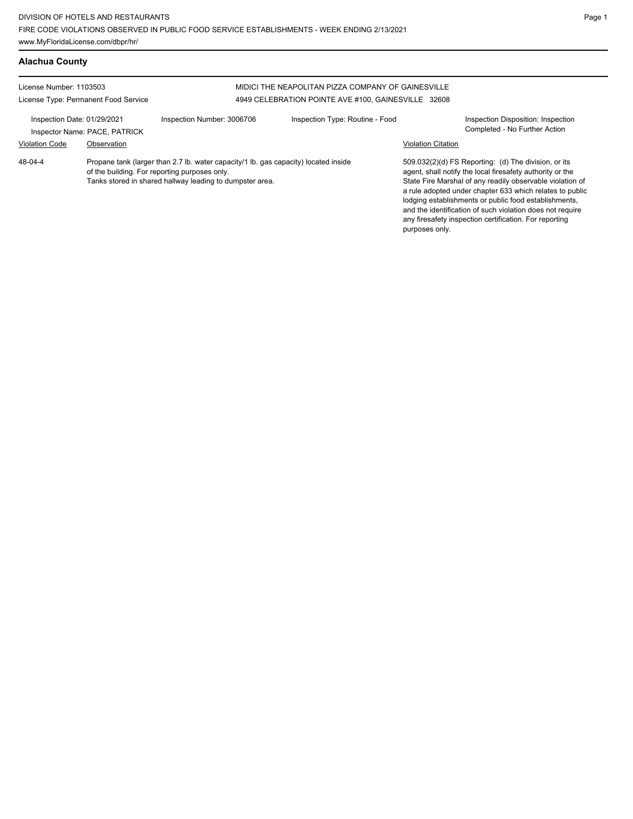**Alachua County** License Number: 1103503 License Type: Permanent Food Service MIDICI THE NEAPOLITAN PIZZA COMPANY OF GAINESVILLE 4949 CELEBRATION POINTE AVE #100, GAINESVILLE 32608 Inspection Date: 01/29/2021 Inspection Number: 3006706 Inspection Type: Routine - Food Inspection Disposition: Inspection Inspector Name: PACE, PATRICK **Completed - No Further Action** Violation Code Observation Violation Citation Propane tank (larger than 2.7 lb. water capacity/1 lb. gas capacity) located inside of the building. For reporting purposes only. Tanks stored in shared hallway leading to dumpster area. 509.032(2)(d) FS Reporting: (d) The division, or its agent, shall notify the local firesafety authority or the State Fire Marshal of any readily observable violation of a rule adopted under chapter 633 which relates to public lodging establishments or public food establishments, and the identification of such violation does not require any firesafety inspection certification. For reporting purposes only. 48-04-4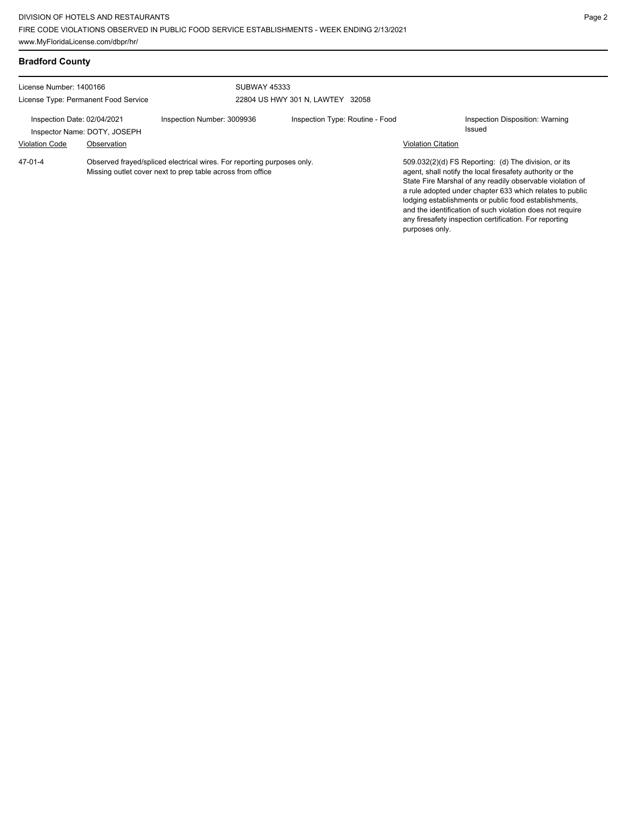| License Number: 1400166                              |                                                                                                                                      |                            | <b>SUBWAY 45333</b>              |                           |                                                                                                                                                                                                                                                                                                                                                                                                                            |  |
|------------------------------------------------------|--------------------------------------------------------------------------------------------------------------------------------------|----------------------------|----------------------------------|---------------------------|----------------------------------------------------------------------------------------------------------------------------------------------------------------------------------------------------------------------------------------------------------------------------------------------------------------------------------------------------------------------------------------------------------------------------|--|
|                                                      | License Type: Permanent Food Service                                                                                                 |                            | 22804 US HWY 301 N. LAWTEY 32058 |                           |                                                                                                                                                                                                                                                                                                                                                                                                                            |  |
| Inspection Date: 02/04/2021<br><b>Violation Code</b> | Inspector Name: DOTY, JOSEPH<br>Observation                                                                                          | Inspection Number: 3009936 | Inspection Type: Routine - Food  | <b>Violation Citation</b> | Inspection Disposition: Warning<br>Issued                                                                                                                                                                                                                                                                                                                                                                                  |  |
|                                                      |                                                                                                                                      |                            |                                  |                           |                                                                                                                                                                                                                                                                                                                                                                                                                            |  |
| $47-01-4$                                            | Observed frayed/spliced electrical wires. For reporting purposes only.<br>Missing outlet cover next to prep table across from office |                            |                                  | purposes only.            | 509.032(2)(d) FS Reporting: (d) The division, or its<br>agent, shall notify the local firesafety authority or the<br>State Fire Marshal of any readily observable violation of<br>a rule adopted under chapter 633 which relates to public<br>lodging establishments or public food establishments,<br>and the identification of such violation does not require<br>any firesafety inspection certification. For reporting |  |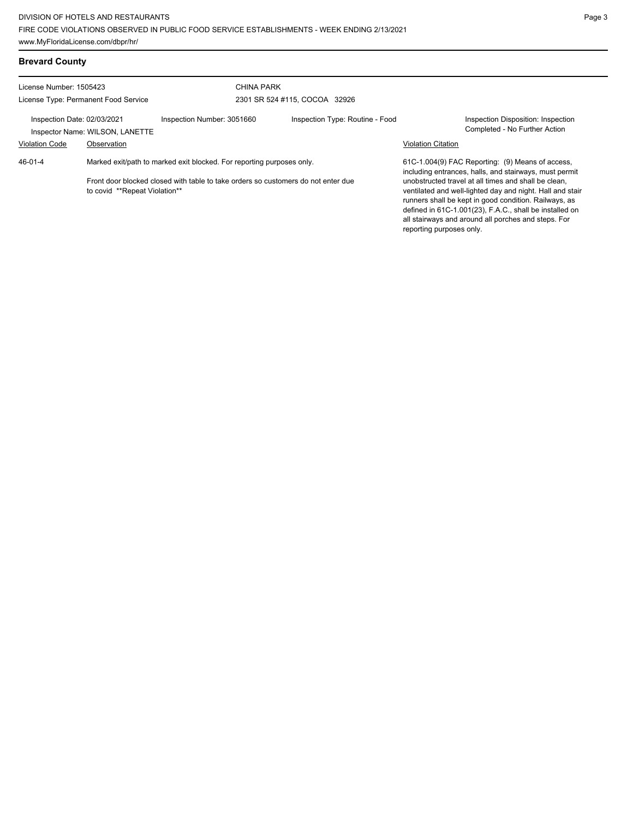| <b>Brevard County</b>                                                                                                                                                                                  |                                 |                            |                                                                                                            |                           |                                                                                                                                                                                                                                                                                              |
|--------------------------------------------------------------------------------------------------------------------------------------------------------------------------------------------------------|---------------------------------|----------------------------|------------------------------------------------------------------------------------------------------------|---------------------------|----------------------------------------------------------------------------------------------------------------------------------------------------------------------------------------------------------------------------------------------------------------------------------------------|
| License Number: 1505423                                                                                                                                                                                |                                 |                            | <b>CHINA PARK</b>                                                                                          |                           |                                                                                                                                                                                                                                                                                              |
| License Type: Permanent Food Service                                                                                                                                                                   |                                 |                            | 2301 SR 524 #115, COCOA 32926                                                                              |                           |                                                                                                                                                                                                                                                                                              |
| Inspection Date: 02/03/2021                                                                                                                                                                            | Inspector Name: WILSON, LANETTE | Inspection Number: 3051660 | Inspection Type: Routine - Food                                                                            |                           | Inspection Disposition: Inspection<br>Completed - No Further Action                                                                                                                                                                                                                          |
| <b>Violation Code</b>                                                                                                                                                                                  | Observation                     |                            |                                                                                                            | <b>Violation Citation</b> |                                                                                                                                                                                                                                                                                              |
| 46-01-4<br>Marked exit/path to marked exit blocked. For reporting purposes only.<br>Front door blocked closed with table to take orders so customers do not enter due<br>to covid **Repeat Violation** |                                 |                            | 61C-1.004(9) FAC Reporting: (9) Means of access,<br>including entrances, halls, and stairways, must permit |                           |                                                                                                                                                                                                                                                                                              |
|                                                                                                                                                                                                        |                                 |                            |                                                                                                            | reporting purposes only.  | unobstructed travel at all times and shall be clean,<br>ventilated and well-lighted day and night. Hall and stair<br>runners shall be kept in good condition. Railways, as<br>defined in 61C-1.001(23), F.A.C., shall be installed on<br>all stairways and around all porches and steps. For |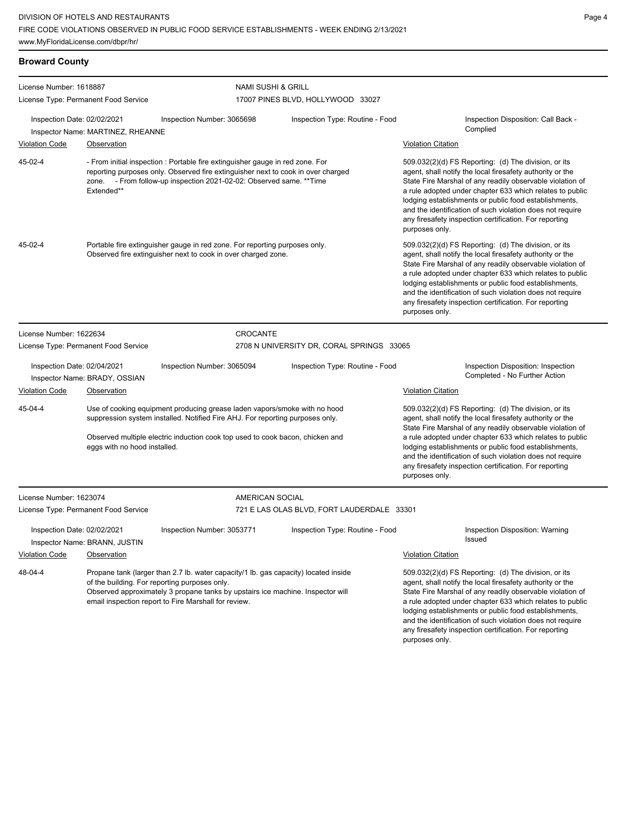| <b>Broward County</b>                                                                                                                                                                                                                                                                     |                                      |                                                                                                                                                                                                                                             |                                                                                                                                                                                                |                                                                                                                                                                                                                                                                                                                                                                                                                                              |
|-------------------------------------------------------------------------------------------------------------------------------------------------------------------------------------------------------------------------------------------------------------------------------------------|--------------------------------------|---------------------------------------------------------------------------------------------------------------------------------------------------------------------------------------------------------------------------------------------|------------------------------------------------------------------------------------------------------------------------------------------------------------------------------------------------|----------------------------------------------------------------------------------------------------------------------------------------------------------------------------------------------------------------------------------------------------------------------------------------------------------------------------------------------------------------------------------------------------------------------------------------------|
| License Number: 1618887                                                                                                                                                                                                                                                                   |                                      | <b>NAMI SUSHI &amp; GRILL</b>                                                                                                                                                                                                               |                                                                                                                                                                                                |                                                                                                                                                                                                                                                                                                                                                                                                                                              |
| License Type: Permanent Food Service                                                                                                                                                                                                                                                      |                                      |                                                                                                                                                                                                                                             | 17007 PINES BLVD, HOLLYWOOD 33027                                                                                                                                                              |                                                                                                                                                                                                                                                                                                                                                                                                                                              |
| Inspection Date: 02/02/2021                                                                                                                                                                                                                                                               | Inspector Name: MARTINEZ, RHEANNE    | Inspection Number: 3065698                                                                                                                                                                                                                  | Inspection Type: Routine - Food                                                                                                                                                                | Inspection Disposition: Call Back -<br>Complied                                                                                                                                                                                                                                                                                                                                                                                              |
| <b>Violation Code</b>                                                                                                                                                                                                                                                                     | Observation                          |                                                                                                                                                                                                                                             |                                                                                                                                                                                                | <b>Violation Citation</b>                                                                                                                                                                                                                                                                                                                                                                                                                    |
| 45-02-4                                                                                                                                                                                                                                                                                   | Extended**                           | - From initial inspection : Portable fire extinguisher gauge in red zone. For<br>reporting purposes only. Observed fire extinguisher next to cook in over charged<br>zone. - From follow-up inspection 2021-02-02: Observed same. ** Time   |                                                                                                                                                                                                | 509.032(2)(d) FS Reporting: (d) The division, or its<br>agent, shall notify the local firesafety authority or the<br>State Fire Marshal of any readily observable violation of<br>a rule adopted under chapter 633 which relates to public<br>lodging establishments or public food establishments,<br>and the identification of such violation does not require<br>any firesafety inspection certification. For reporting<br>purposes only. |
| 45-02-4                                                                                                                                                                                                                                                                                   |                                      | Portable fire extinguisher gauge in red zone. For reporting purposes only.<br>Observed fire extinguisher next to cook in over charged zone.                                                                                                 |                                                                                                                                                                                                | 509.032(2)(d) FS Reporting: (d) The division, or its<br>agent, shall notify the local firesafety authority or the<br>State Fire Marshal of any readily observable violation of<br>a rule adopted under chapter 633 which relates to public<br>lodging establishments or public food establishments,<br>and the identification of such violation does not require<br>any firesafety inspection certification. For reporting<br>purposes only. |
| License Number: 1622634                                                                                                                                                                                                                                                                   |                                      | CROCANTE                                                                                                                                                                                                                                    |                                                                                                                                                                                                |                                                                                                                                                                                                                                                                                                                                                                                                                                              |
|                                                                                                                                                                                                                                                                                           | License Type: Permanent Food Service |                                                                                                                                                                                                                                             | 2708 N UNIVERSITY DR, CORAL SPRINGS 33065                                                                                                                                                      |                                                                                                                                                                                                                                                                                                                                                                                                                                              |
| Inspection Date: 02/04/2021                                                                                                                                                                                                                                                               | Inspector Name: BRADY, OSSIAN        | Inspection Number: 3065094                                                                                                                                                                                                                  | Inspection Type: Routine - Food                                                                                                                                                                | Inspection Disposition: Inspection<br>Completed - No Further Action                                                                                                                                                                                                                                                                                                                                                                          |
| <b>Violation Code</b>                                                                                                                                                                                                                                                                     | Observation                          |                                                                                                                                                                                                                                             |                                                                                                                                                                                                | <b>Violation Citation</b>                                                                                                                                                                                                                                                                                                                                                                                                                    |
| 45-04-4                                                                                                                                                                                                                                                                                   |                                      | Use of cooking equipment producing grease laden vapors/smoke with no hood<br>suppression system installed. Notified Fire AHJ. For reporting purposes only.<br>Observed multiple electric induction cook top used to cook bacon, chicken and |                                                                                                                                                                                                | 509.032(2)(d) FS Reporting: (d) The division, or its<br>agent, shall notify the local firesafety authority or the<br>State Fire Marshal of any readily observable violation of<br>a rule adopted under chapter 633 which relates to public                                                                                                                                                                                                   |
|                                                                                                                                                                                                                                                                                           | eggs with no hood installed.         |                                                                                                                                                                                                                                             | lodging establishments or public food establishments,<br>and the identification of such violation does not require<br>any firesafety inspection certification. For reporting<br>purposes only. |                                                                                                                                                                                                                                                                                                                                                                                                                                              |
| License Number: 1623074                                                                                                                                                                                                                                                                   |                                      | AMERICAN SOCIAL                                                                                                                                                                                                                             |                                                                                                                                                                                                |                                                                                                                                                                                                                                                                                                                                                                                                                                              |
|                                                                                                                                                                                                                                                                                           | License Type: Permanent Food Service |                                                                                                                                                                                                                                             | 721 E LAS OLAS BLVD, FORT LAUDERDALE 33301                                                                                                                                                     |                                                                                                                                                                                                                                                                                                                                                                                                                                              |
| Inspection Date: 02/02/2021                                                                                                                                                                                                                                                               | Inspector Name: BRANN, JUSTIN        | Inspection Number: 3053771                                                                                                                                                                                                                  | Inspection Type: Routine - Food                                                                                                                                                                | Inspection Disposition: Warning<br>Issued                                                                                                                                                                                                                                                                                                                                                                                                    |
| <b>Violation Code</b>                                                                                                                                                                                                                                                                     | Observation                          |                                                                                                                                                                                                                                             |                                                                                                                                                                                                | <b>Violation Citation</b>                                                                                                                                                                                                                                                                                                                                                                                                                    |
| 48-04-4<br>Propane tank (larger than 2.7 lb. water capacity/1 lb. gas capacity) located inside<br>of the building. For reporting purposes only.<br>Observed approximately 3 propane tanks by upstairs ice machine. Inspector will<br>email inspection report to Fire Marshall for review. |                                      |                                                                                                                                                                                                                                             |                                                                                                                                                                                                | 509.032(2)(d) FS Reporting: (d) The division, or its<br>agent, shall notify the local firesafety authority or the<br>State Fire Marshal of any readily observable violation of<br>a rule adopted under chapter 633 which relates to public<br>lodging establishments or public food establishments,<br>and the identification of such violation does not require<br>any firesafety inspection certification. For reporting                   |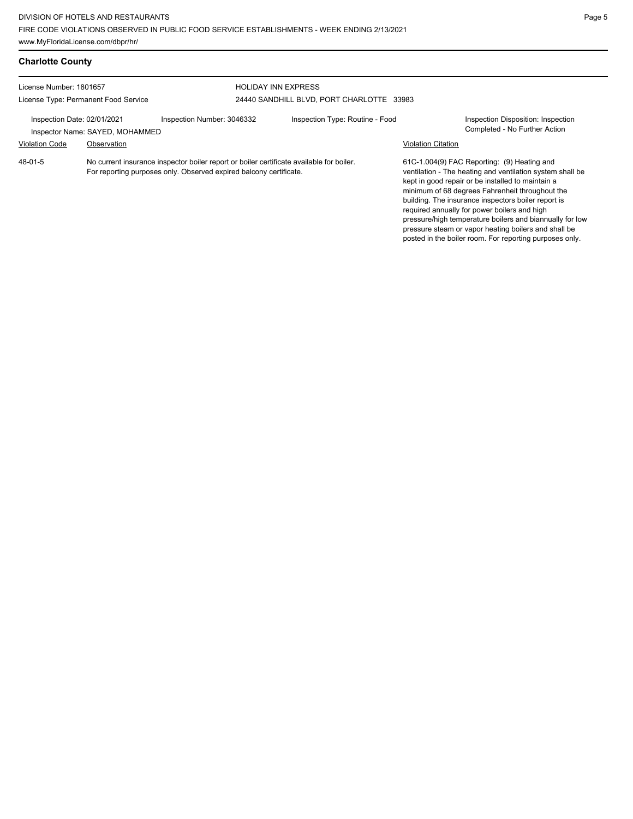posted in the boiler room. For reporting purposes only.

| <b>Charlotte County</b>                                         |                                                                                                                                                                |                            |                                                                         |                           |                                                                                                                                                                                                                                                                                                                                                                                                                                             |
|-----------------------------------------------------------------|----------------------------------------------------------------------------------------------------------------------------------------------------------------|----------------------------|-------------------------------------------------------------------------|---------------------------|---------------------------------------------------------------------------------------------------------------------------------------------------------------------------------------------------------------------------------------------------------------------------------------------------------------------------------------------------------------------------------------------------------------------------------------------|
| License Number: 1801657<br>License Type: Permanent Food Service |                                                                                                                                                                |                            | <b>HOLIDAY INN EXPRESS</b><br>24440 SANDHILL BLVD, PORT CHARLOTTE 33983 |                           |                                                                                                                                                                                                                                                                                                                                                                                                                                             |
| Inspection Date: 02/01/2021<br>Inspector Name: SAYED, MOHAMMED  |                                                                                                                                                                | Inspection Number: 3046332 | Inspection Type: Routine - Food                                         |                           | Inspection Disposition: Inspection<br>Completed - No Further Action                                                                                                                                                                                                                                                                                                                                                                         |
| <b>Violation Code</b>                                           | Observation                                                                                                                                                    |                            |                                                                         | <b>Violation Citation</b> |                                                                                                                                                                                                                                                                                                                                                                                                                                             |
| 48-01-5                                                         | No current insurance inspector boiler report or boiler certificate available for boiler.<br>For reporting purposes only. Observed expired balcony certificate. |                            |                                                                         |                           | 61C-1.004(9) FAC Reporting: (9) Heating and<br>ventilation - The heating and ventilation system shall be<br>kept in good repair or be installed to maintain a<br>minimum of 68 degrees Fahrenheit throughout the<br>building. The insurance inspectors boiler report is<br>required annually for power boilers and high<br>pressure/high temperature boilers and biannually for low<br>pressure steam or vapor heating boilers and shall be |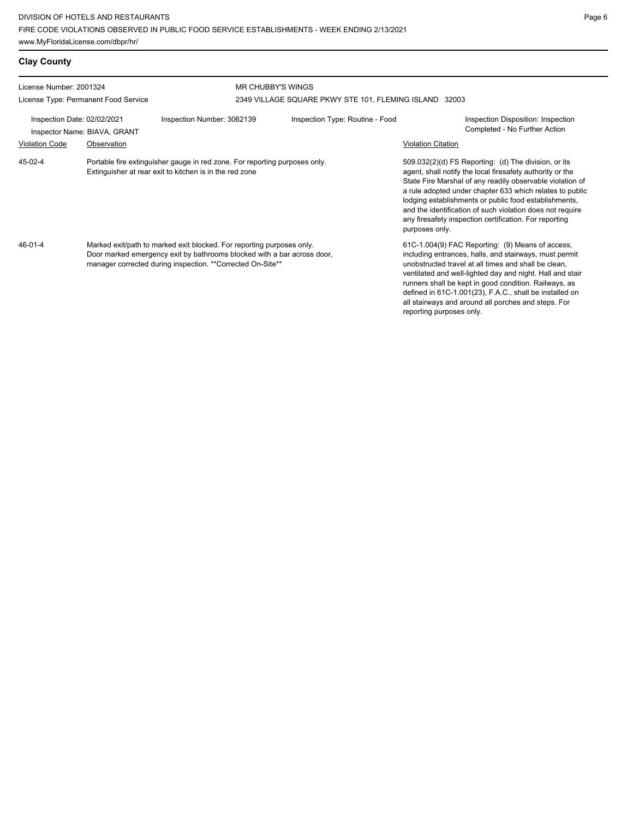| <b>Clay County</b>                                          |                                      |                                                                                                                                                                                                                |                                                        |                                                                                                                                                                                                                                                                                                                                                                                                                                              |  |
|-------------------------------------------------------------|--------------------------------------|----------------------------------------------------------------------------------------------------------------------------------------------------------------------------------------------------------------|--------------------------------------------------------|----------------------------------------------------------------------------------------------------------------------------------------------------------------------------------------------------------------------------------------------------------------------------------------------------------------------------------------------------------------------------------------------------------------------------------------------|--|
| License Number: 2001324                                     |                                      | <b>MR CHUBBY'S WINGS</b>                                                                                                                                                                                       |                                                        |                                                                                                                                                                                                                                                                                                                                                                                                                                              |  |
|                                                             | License Type: Permanent Food Service |                                                                                                                                                                                                                | 2349 VILLAGE SQUARE PKWY STE 101, FLEMING ISLAND 32003 |                                                                                                                                                                                                                                                                                                                                                                                                                                              |  |
| Inspection Date: 02/02/2021<br>Inspector Name: BIAVA, GRANT |                                      | Inspection Number: 3062139                                                                                                                                                                                     | Inspection Type: Routine - Food                        | Inspection Disposition: Inspection<br>Completed - No Further Action                                                                                                                                                                                                                                                                                                                                                                          |  |
| <b>Violation Code</b>                                       | Observation                          |                                                                                                                                                                                                                |                                                        | <b>Violation Citation</b>                                                                                                                                                                                                                                                                                                                                                                                                                    |  |
| 45-02-4                                                     |                                      | Portable fire extinguisher gauge in red zone. For reporting purposes only.<br>Extinguisher at rear exit to kitchen is in the red zone                                                                          |                                                        | 509.032(2)(d) FS Reporting: (d) The division, or its<br>agent, shall notify the local firesafety authority or the<br>State Fire Marshal of any readily observable violation of<br>a rule adopted under chapter 633 which relates to public<br>lodging establishments or public food establishments,<br>and the identification of such violation does not require<br>any firesafety inspection certification. For reporting<br>purposes only. |  |
| $46 - 01 - 4$                                               |                                      | Marked exit/path to marked exit blocked. For reporting purposes only.<br>Door marked emergency exit by bathrooms blocked with a bar across door,<br>manager corrected during inspection. **Corrected On-Site** |                                                        | 61C-1.004(9) FAC Reporting: (9) Means of access,<br>including entrances, halls, and stairways, must permit<br>unobstructed travel at all times and shall be clean,<br>ventilated and well-lighted day and night. Hall and stair<br>runners shall be kept in good condition. Railways, as<br>defined in 61C-1.001(23), F.A.C., shall be installed on<br>all stairways and around all porches and steps. For<br>reporting purposes only.       |  |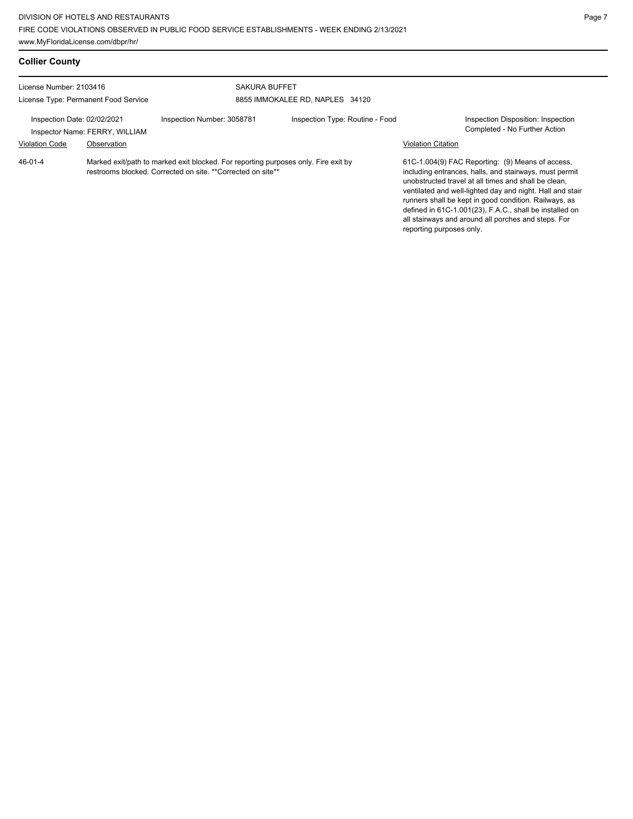| <b>Collier County</b>                                                                                                                                        |                                               |                                                         |                                 |                           |                                                                                                                                                                                                                                                                                                                                                                                                            |
|--------------------------------------------------------------------------------------------------------------------------------------------------------------|-----------------------------------------------|---------------------------------------------------------|---------------------------------|---------------------------|------------------------------------------------------------------------------------------------------------------------------------------------------------------------------------------------------------------------------------------------------------------------------------------------------------------------------------------------------------------------------------------------------------|
| License Number: 2103416<br>License Type: Permanent Food Service                                                                                              |                                               | <b>SAKURA BUFFET</b><br>8855 IMMOKALEE RD, NAPLES 34120 |                                 |                           |                                                                                                                                                                                                                                                                                                                                                                                                            |
| Inspection Date: 02/02/2021<br><b>Violation Code</b>                                                                                                         | Inspector Name: FERRY, WILLIAM<br>Observation | Inspection Number: 3058781                              | Inspection Type: Routine - Food | <b>Violation Citation</b> | Inspection Disposition: Inspection<br>Completed - No Further Action                                                                                                                                                                                                                                                                                                                                        |
| 46-01-4<br>Marked exit/path to marked exit blocked. For reporting purposes only. Fire exit by<br>restrooms blocked. Corrected on site. **Corrected on site** |                                               |                                                         |                                 | reporting purposes only.  | 61C-1.004(9) FAC Reporting: (9) Means of access,<br>including entrances, halls, and stairways, must permit<br>unobstructed travel at all times and shall be clean,<br>ventilated and well-lighted day and night. Hall and stair<br>runners shall be kept in good condition. Railways, as<br>defined in 61C-1.001(23), F.A.C., shall be installed on<br>all stairways and around all porches and steps. For |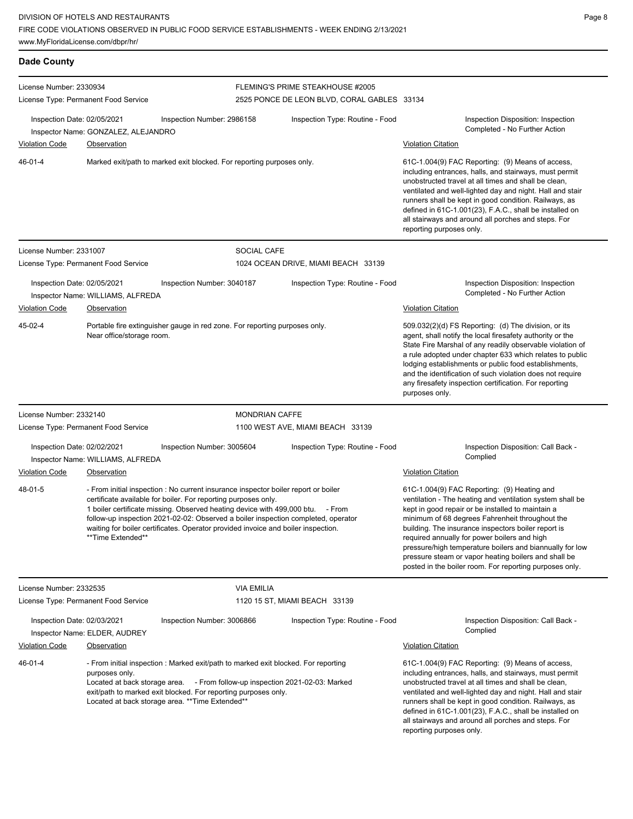www.MyFloridaLicense.com/dbpr/hr/

| <b>Dade County</b>                                   |                                                           |                                                                                                                                                                                                                                                                                                                                                                                                                  |                                             |                                                                                                                                                                                                                                                                                                                                                                                                                                                                                                        |  |
|------------------------------------------------------|-----------------------------------------------------------|------------------------------------------------------------------------------------------------------------------------------------------------------------------------------------------------------------------------------------------------------------------------------------------------------------------------------------------------------------------------------------------------------------------|---------------------------------------------|--------------------------------------------------------------------------------------------------------------------------------------------------------------------------------------------------------------------------------------------------------------------------------------------------------------------------------------------------------------------------------------------------------------------------------------------------------------------------------------------------------|--|
| License Number: 2330934                              |                                                           |                                                                                                                                                                                                                                                                                                                                                                                                                  | FLEMING'S PRIME STEAKHOUSE #2005            |                                                                                                                                                                                                                                                                                                                                                                                                                                                                                                        |  |
| License Type: Permanent Food Service                 |                                                           |                                                                                                                                                                                                                                                                                                                                                                                                                  | 2525 PONCE DE LEON BLVD, CORAL GABLES 33134 |                                                                                                                                                                                                                                                                                                                                                                                                                                                                                                        |  |
| Inspection Date: 02/05/2021<br><b>Violation Code</b> | Inspector Name: GONZALEZ, ALEJANDRO<br><b>Observation</b> | Inspection Number: 2986158                                                                                                                                                                                                                                                                                                                                                                                       | Inspection Type: Routine - Food             | Inspection Disposition: Inspection<br>Completed - No Further Action<br><b>Violation Citation</b>                                                                                                                                                                                                                                                                                                                                                                                                       |  |
| 46-01-4                                              |                                                           | Marked exit/path to marked exit blocked. For reporting purposes only.                                                                                                                                                                                                                                                                                                                                            |                                             | 61C-1.004(9) FAC Reporting: (9) Means of access,<br>including entrances, halls, and stairways, must permit<br>unobstructed travel at all times and shall be clean,<br>ventilated and well-lighted day and night. Hall and stair<br>runners shall be kept in good condition. Railways, as<br>defined in 61C-1.001(23), F.A.C., shall be installed on<br>all stairways and around all porches and steps. For<br>reporting purposes only.                                                                 |  |
| License Number: 2331007                              |                                                           | <b>SOCIAL CAFE</b>                                                                                                                                                                                                                                                                                                                                                                                               |                                             |                                                                                                                                                                                                                                                                                                                                                                                                                                                                                                        |  |
|                                                      | License Type: Permanent Food Service                      |                                                                                                                                                                                                                                                                                                                                                                                                                  | 1024 OCEAN DRIVE, MIAMI BEACH 33139         |                                                                                                                                                                                                                                                                                                                                                                                                                                                                                                        |  |
| Inspection Date: 02/05/2021<br><b>Violation Code</b> | Inspector Name: WILLIAMS, ALFREDA<br>Observation          | Inspection Number: 3040187                                                                                                                                                                                                                                                                                                                                                                                       | Inspection Type: Routine - Food             | Inspection Disposition: Inspection<br>Completed - No Further Action<br><b>Violation Citation</b>                                                                                                                                                                                                                                                                                                                                                                                                       |  |
| 45-02-4                                              | Near office/storage room.                                 | Portable fire extinguisher gauge in red zone. For reporting purposes only.                                                                                                                                                                                                                                                                                                                                       |                                             | 509.032(2)(d) FS Reporting: (d) The division, or its<br>agent, shall notify the local firesafety authority or the<br>State Fire Marshal of any readily observable violation of<br>a rule adopted under chapter 633 which relates to public<br>lodging establishments or public food establishments,<br>and the identification of such violation does not require<br>any firesafety inspection certification. For reporting<br>purposes only.                                                           |  |
| License Number: 2332140                              |                                                           |                                                                                                                                                                                                                                                                                                                                                                                                                  | <b>MONDRIAN CAFFE</b>                       |                                                                                                                                                                                                                                                                                                                                                                                                                                                                                                        |  |
|                                                      | License Type: Permanent Food Service                      |                                                                                                                                                                                                                                                                                                                                                                                                                  | 1100 WEST AVE, MIAMI BEACH 33139            |                                                                                                                                                                                                                                                                                                                                                                                                                                                                                                        |  |
| Inspection Date: 02/02/2021                          |                                                           | Inspection Number: 3005604                                                                                                                                                                                                                                                                                                                                                                                       | Inspection Type: Routine - Food             | Inspection Disposition: Call Back -<br>Complied                                                                                                                                                                                                                                                                                                                                                                                                                                                        |  |
| <b>Violation Code</b>                                | Inspector Name: WILLIAMS, ALFREDA<br>Observation          |                                                                                                                                                                                                                                                                                                                                                                                                                  |                                             | <b>Violation Citation</b>                                                                                                                                                                                                                                                                                                                                                                                                                                                                              |  |
| 48-01-5                                              | **Time Extended**                                         | - From initial inspection : No current insurance inspector boiler report or boiler<br>certificate available for boiler. For reporting purposes only.<br>1 boiler certificate missing. Observed heating device with 499,000 btu. - From<br>follow-up inspection 2021-02-02: Observed a boiler inspection completed, operator<br>waiting for boiler certificates. Operator provided invoice and boiler inspection. |                                             | 61C-1.004(9) FAC Reporting: (9) Heating and<br>ventilation - The heating and ventilation system shall be<br>kept in good repair or be installed to maintain a<br>minimum of 68 degrees Fahrenheit throughout the<br>building. The insurance inspectors boiler report is<br>required annually for power boilers and high<br>pressure/high temperature boilers and biannually for low<br>pressure steam or vapor heating boilers and shall be<br>posted in the boiler room. For reporting purposes only. |  |
| License Number: 2332535                              |                                                           | <b>VIA EMILIA</b>                                                                                                                                                                                                                                                                                                                                                                                                |                                             |                                                                                                                                                                                                                                                                                                                                                                                                                                                                                                        |  |
|                                                      | License Type: Permanent Food Service                      |                                                                                                                                                                                                                                                                                                                                                                                                                  | 1120 15 ST, MIAMI BEACH 33139               |                                                                                                                                                                                                                                                                                                                                                                                                                                                                                                        |  |
| Inspection Date: 02/03/2021                          | Inspector Name: ELDER, AUDREY                             | Inspection Number: 3006866                                                                                                                                                                                                                                                                                                                                                                                       | Inspection Type: Routine - Food             | Inspection Disposition: Call Back -<br>Complied                                                                                                                                                                                                                                                                                                                                                                                                                                                        |  |
| <b>Violation Code</b>                                | <b>Observation</b>                                        |                                                                                                                                                                                                                                                                                                                                                                                                                  |                                             | <b>Violation Citation</b>                                                                                                                                                                                                                                                                                                                                                                                                                                                                              |  |
| 46-01-4                                              | purposes only.                                            | - From initial inspection : Marked exit/path to marked exit blocked. For reporting<br>Located at back storage area. - From follow-up inspection 2021-02-03: Marked<br>exit/path to marked exit blocked. For reporting purposes only.<br>Located at back storage area. ** Time Extended**                                                                                                                         |                                             | 61C-1.004(9) FAC Reporting: (9) Means of access,<br>including entrances, halls, and stairways, must permit<br>unobstructed travel at all times and shall be clean,<br>ventilated and well-lighted day and night. Hall and stair<br>runners shall be kept in good condition. Railways, as<br>defined in 61C-1.001(23), F.A.C., shall be installed on<br>all stairways and around all porches and steps. For<br>reporting purposes only.                                                                 |  |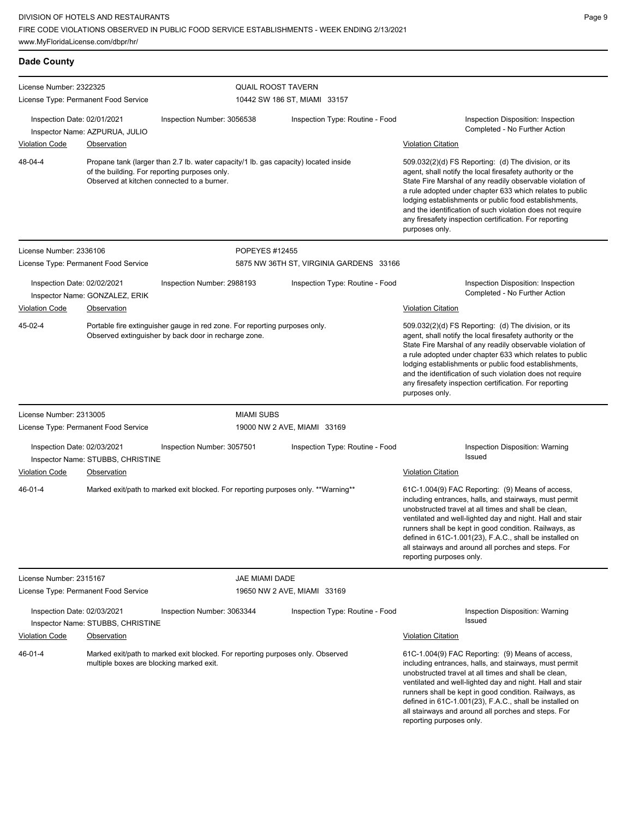| <b>Dade County</b>                                   |                                               |                                                                                                                                                                                    |                                         |                                                                                                                                                                                                                                                                                                                                                                                                                                              |
|------------------------------------------------------|-----------------------------------------------|------------------------------------------------------------------------------------------------------------------------------------------------------------------------------------|-----------------------------------------|----------------------------------------------------------------------------------------------------------------------------------------------------------------------------------------------------------------------------------------------------------------------------------------------------------------------------------------------------------------------------------------------------------------------------------------------|
| License Number: 2322325                              | License Type: Permanent Food Service          | <b>QUAIL ROOST TAVERN</b>                                                                                                                                                          | 10442 SW 186 ST, MIAMI 33157            |                                                                                                                                                                                                                                                                                                                                                                                                                                              |
| Inspection Date: 02/01/2021                          | Inspector Name: AZPURUA, JULIO                | Inspection Number: 3056538                                                                                                                                                         | Inspection Type: Routine - Food         | Inspection Disposition: Inspection<br>Completed - No Further Action                                                                                                                                                                                                                                                                                                                                                                          |
| <b>Violation Code</b>                                | Observation                                   |                                                                                                                                                                                    |                                         | <b>Violation Citation</b>                                                                                                                                                                                                                                                                                                                                                                                                                    |
| 48-04-4                                              |                                               | Propane tank (larger than 2.7 lb. water capacity/1 lb. gas capacity) located inside<br>of the building. For reporting purposes only.<br>Observed at kitchen connected to a burner. |                                         | 509.032(2)(d) FS Reporting: (d) The division, or its<br>agent, shall notify the local firesafety authority or the<br>State Fire Marshal of any readily observable violation of<br>a rule adopted under chapter 633 which relates to public<br>lodging establishments or public food establishments,<br>and the identification of such violation does not require<br>any firesafety inspection certification. For reporting<br>purposes only. |
| License Number: 2336106                              |                                               | POPEYES #12455                                                                                                                                                                     |                                         |                                                                                                                                                                                                                                                                                                                                                                                                                                              |
|                                                      | License Type: Permanent Food Service          |                                                                                                                                                                                    | 5875 NW 36TH ST, VIRGINIA GARDENS 33166 |                                                                                                                                                                                                                                                                                                                                                                                                                                              |
| Inspection Date: 02/02/2021<br><b>Violation Code</b> | Inspector Name: GONZALEZ, ERIK<br>Observation | Inspection Number: 2988193                                                                                                                                                         | Inspection Type: Routine - Food         | Inspection Disposition: Inspection<br>Completed - No Further Action<br><b>Violation Citation</b>                                                                                                                                                                                                                                                                                                                                             |
| 45-02-4                                              |                                               | Portable fire extinguisher gauge in red zone. For reporting purposes only.<br>Observed extinguisher by back door in recharge zone.                                                 |                                         | 509.032(2)(d) FS Reporting: (d) The division, or its<br>agent, shall notify the local firesafety authority or the<br>State Fire Marshal of any readily observable violation of<br>a rule adopted under chapter 633 which relates to public<br>lodging establishments or public food establishments,<br>and the identification of such violation does not require<br>any firesafety inspection certification. For reporting<br>purposes only. |
| License Number: 2313005                              |                                               | <b>MIAMI SUBS</b>                                                                                                                                                                  |                                         |                                                                                                                                                                                                                                                                                                                                                                                                                                              |
|                                                      | License Type: Permanent Food Service          |                                                                                                                                                                                    | 19000 NW 2 AVE, MIAMI 33169             |                                                                                                                                                                                                                                                                                                                                                                                                                                              |
| Inspection Date: 02/03/2021                          | Inspector Name: STUBBS, CHRISTINE             | Inspection Number: 3057501                                                                                                                                                         | Inspection Type: Routine - Food         | Inspection Disposition: Warning<br>Issued                                                                                                                                                                                                                                                                                                                                                                                                    |
| Violation Code                                       | <b>Observation</b>                            |                                                                                                                                                                                    |                                         | <b>Violation Citation</b>                                                                                                                                                                                                                                                                                                                                                                                                                    |
| $46 - 01 - 4$                                        |                                               | Marked exit/path to marked exit blocked. For reporting purposes only. **Warning**                                                                                                  |                                         | 61C-1.004(9) FAC Reporting: (9) Means of access,<br>including entrances, halls, and stairways, must permit<br>unobstructed travel at all times and shall be clean,<br>ventilated and well-lighted day and night. Hall and stair<br>runners shall be kept in good condition. Railways, as<br>defined in 61C-1.001(23), F.A.C., shall be installed on<br>all stairways and around all porches and steps. For<br>reporting purposes only.       |
| License Number: 2315167                              |                                               | JAE MIAMI DADE                                                                                                                                                                     |                                         |                                                                                                                                                                                                                                                                                                                                                                                                                                              |
|                                                      | License Type: Permanent Food Service          |                                                                                                                                                                                    | 19650 NW 2 AVE, MIAMI 33169             |                                                                                                                                                                                                                                                                                                                                                                                                                                              |
| Inspection Date: 02/03/2021                          | Inspector Name: STUBBS, CHRISTINE             | Inspection Number: 3063344                                                                                                                                                         | Inspection Type: Routine - Food         | Inspection Disposition: Warning<br>Issued                                                                                                                                                                                                                                                                                                                                                                                                    |
| <b>Violation Code</b>                                | Observation                                   |                                                                                                                                                                                    |                                         | <b>Violation Citation</b>                                                                                                                                                                                                                                                                                                                                                                                                                    |
| 46-01-4                                              | multiple boxes are blocking marked exit.      | Marked exit/path to marked exit blocked. For reporting purposes only. Observed                                                                                                     |                                         | 61C-1.004(9) FAC Reporting: (9) Means of access,<br>including entrances, halls, and stairways, must permit<br>unobstructed travel at all times and shall be clean,<br>ventilated and well-lighted day and night. Hall and stair<br>runners shall be kept in good condition. Railways, as<br>defined in 61C-1.001(23), F.A.C., shall be installed on<br>all stairways and around all porches and steps. For<br>reporting purposes only.       |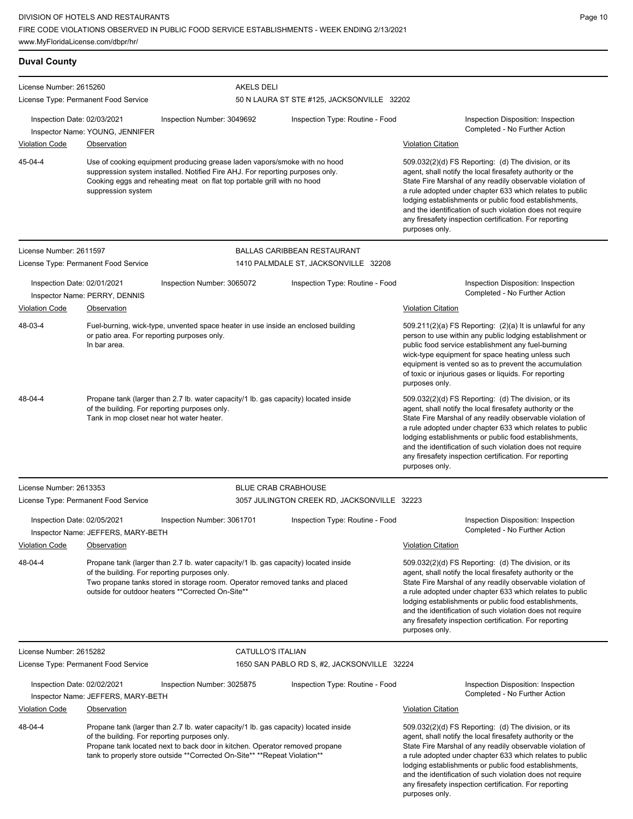| <b>Duval County</b>                                  |                                                                                                                                                                                                                                                                          |                                                                                                                                                                                                                                                                                                    |                                                                            |                                                                                                                                                                                                                                                                                                                                                                                                                                              |
|------------------------------------------------------|--------------------------------------------------------------------------------------------------------------------------------------------------------------------------------------------------------------------------------------------------------------------------|----------------------------------------------------------------------------------------------------------------------------------------------------------------------------------------------------------------------------------------------------------------------------------------------------|----------------------------------------------------------------------------|----------------------------------------------------------------------------------------------------------------------------------------------------------------------------------------------------------------------------------------------------------------------------------------------------------------------------------------------------------------------------------------------------------------------------------------------|
| License Number: 2615260                              |                                                                                                                                                                                                                                                                          | <b>AKELS DELI</b>                                                                                                                                                                                                                                                                                  |                                                                            |                                                                                                                                                                                                                                                                                                                                                                                                                                              |
|                                                      | License Type: Permanent Food Service                                                                                                                                                                                                                                     |                                                                                                                                                                                                                                                                                                    | 50 N LAURA ST STE #125, JACKSONVILLE 32202                                 |                                                                                                                                                                                                                                                                                                                                                                                                                                              |
| Inspection Date: 02/03/2021<br><b>Violation Code</b> | Inspector Name: YOUNG, JENNIFER<br>Observation                                                                                                                                                                                                                           | Inspection Number: 3049692                                                                                                                                                                                                                                                                         | Inspection Type: Routine - Food                                            | Inspection Disposition: Inspection<br>Completed - No Further Action<br><b>Violation Citation</b>                                                                                                                                                                                                                                                                                                                                             |
| 45-04-4                                              | suppression system                                                                                                                                                                                                                                                       | Use of cooking equipment producing grease laden vapors/smoke with no hood<br>suppression system installed. Notified Fire AHJ. For reporting purposes only.<br>Cooking eggs and reheating meat on flat top portable grill with no hood                                                              |                                                                            | 509.032(2)(d) FS Reporting: (d) The division, or its<br>agent, shall notify the local firesafety authority or the<br>State Fire Marshal of any readily observable violation of<br>a rule adopted under chapter 633 which relates to public<br>lodging establishments or public food establishments,<br>and the identification of such violation does not require<br>any firesafety inspection certification. For reporting<br>purposes only. |
| License Number: 2611597                              | License Type: Permanent Food Service                                                                                                                                                                                                                                     |                                                                                                                                                                                                                                                                                                    | <b>BALLAS CARIBBEAN RESTAURANT</b><br>1410 PALMDALE ST, JACKSONVILLE 32208 |                                                                                                                                                                                                                                                                                                                                                                                                                                              |
| Inspection Date: 02/01/2021                          | Inspector Name: PERRY, DENNIS                                                                                                                                                                                                                                            | Inspection Number: 3065072                                                                                                                                                                                                                                                                         | Inspection Type: Routine - Food                                            | Inspection Disposition: Inspection<br>Completed - No Further Action                                                                                                                                                                                                                                                                                                                                                                          |
| <b>Violation Code</b>                                | Observation                                                                                                                                                                                                                                                              |                                                                                                                                                                                                                                                                                                    |                                                                            | <b>Violation Citation</b>                                                                                                                                                                                                                                                                                                                                                                                                                    |
| 48-03-4                                              | In bar area.                                                                                                                                                                                                                                                             | Fuel-burning, wick-type, unvented space heater in use inside an enclosed building<br>or patio area. For reporting purposes only.                                                                                                                                                                   |                                                                            | 509.211(2)(a) FS Reporting: (2)(a) It is unlawful for any<br>person to use within any public lodging establishment or<br>public food service establishment any fuel-burning<br>wick-type equipment for space heating unless such<br>equipment is vented so as to prevent the accumulation<br>of toxic or injurious gases or liquids. For reporting<br>purposes only.                                                                         |
| 48-04-4                                              |                                                                                                                                                                                                                                                                          | Propane tank (larger than 2.7 lb. water capacity/1 lb. gas capacity) located inside<br>of the building. For reporting purposes only.<br>Tank in mop closet near hot water heater.                                                                                                                  |                                                                            | 509.032(2)(d) FS Reporting: (d) The division, or its<br>agent, shall notify the local firesafety authority or the<br>State Fire Marshal of any readily observable violation of<br>a rule adopted under chapter 633 which relates to public<br>lodging establishments or public food establishments,<br>and the identification of such violation does not require<br>any firesafety inspection certification. For reporting<br>purposes only. |
| License Number: 2613353                              |                                                                                                                                                                                                                                                                          |                                                                                                                                                                                                                                                                                                    | <b>BLUE CRAB CRABHOUSE</b>                                                 |                                                                                                                                                                                                                                                                                                                                                                                                                                              |
|                                                      | License Type: Permanent Food Service                                                                                                                                                                                                                                     |                                                                                                                                                                                                                                                                                                    | 3057 JULINGTON CREEK RD, JACKSONVILLE 32223                                |                                                                                                                                                                                                                                                                                                                                                                                                                                              |
| Inspection Date: 02/05/2021<br><b>Violation Code</b> | Inspector Name: JEFFERS, MARY-BETH<br>Observation                                                                                                                                                                                                                        | Inspection Number: 3061701                                                                                                                                                                                                                                                                         | Inspection Type: Routine - Food                                            | Inspection Disposition: Inspection<br>Completed - No Further Action<br><b>Violation Citation</b>                                                                                                                                                                                                                                                                                                                                             |
| 48-04-4                                              | Propane tank (larger than 2.7 lb. water capacity/1 lb. gas capacity) located inside<br>of the building. For reporting purposes only.<br>Two propane tanks stored in storage room. Operator removed tanks and placed<br>outside for outdoor heaters **Corrected On-Site** |                                                                                                                                                                                                                                                                                                    |                                                                            | 509.032(2)(d) FS Reporting: (d) The division, or its<br>agent, shall notify the local firesafety authority or the<br>State Fire Marshal of any readily observable violation of<br>a rule adopted under chapter 633 which relates to public<br>lodging establishments or public food establishments,<br>and the identification of such violation does not require<br>any firesafety inspection certification. For reporting<br>purposes only. |
| License Number: 2615282                              |                                                                                                                                                                                                                                                                          | CATULLO'S ITALIAN                                                                                                                                                                                                                                                                                  |                                                                            |                                                                                                                                                                                                                                                                                                                                                                                                                                              |
|                                                      | License Type: Permanent Food Service                                                                                                                                                                                                                                     |                                                                                                                                                                                                                                                                                                    | 1650 SAN PABLO RD S, #2, JACKSONVILLE 32224                                |                                                                                                                                                                                                                                                                                                                                                                                                                                              |
| Inspection Date: 02/02/2021                          | Inspector Name: JEFFERS, MARY-BETH                                                                                                                                                                                                                                       | Inspection Number: 3025875                                                                                                                                                                                                                                                                         | Inspection Type: Routine - Food                                            | Inspection Disposition: Inspection<br>Completed - No Further Action                                                                                                                                                                                                                                                                                                                                                                          |
| <b>Violation Code</b>                                | Observation                                                                                                                                                                                                                                                              |                                                                                                                                                                                                                                                                                                    |                                                                            | <b>Violation Citation</b>                                                                                                                                                                                                                                                                                                                                                                                                                    |
| 48-04-4                                              |                                                                                                                                                                                                                                                                          | Propane tank (larger than 2.7 lb. water capacity/1 lb. gas capacity) located inside<br>of the building. For reporting purposes only.<br>Propane tank located next to back door in kitchen. Operator removed propane<br>tank to properly store outside ** Corrected On-Site** ** Repeat Violation** |                                                                            | 509.032(2)(d) FS Reporting: (d) The division, or its<br>agent, shall notify the local firesafety authority or the<br>State Fire Marshal of any readily observable violation of<br>a rule adopted under chapter 633 which relates to public<br>lodging establishments or public food establishments,<br>and the identification of such violation does not require<br>any firesafety inspection certification. For reporting                   |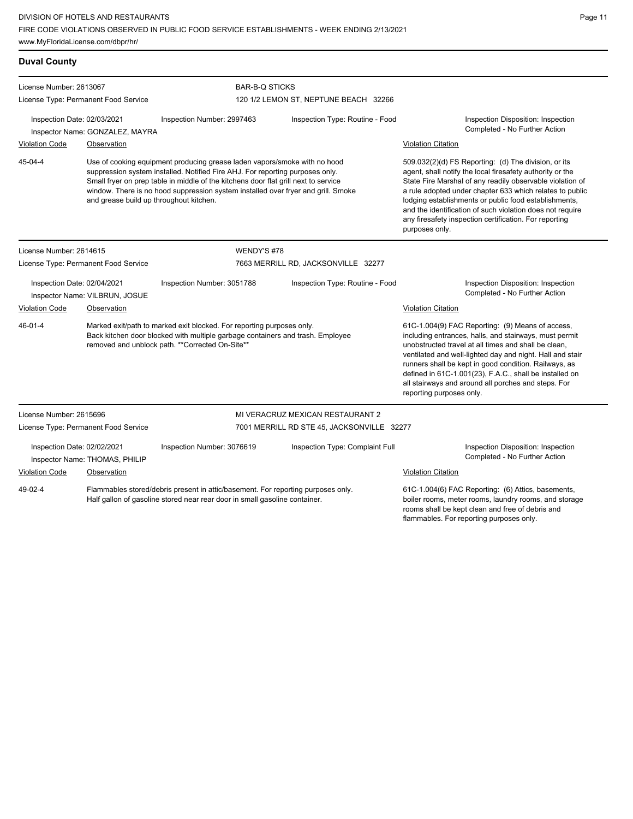www.MyFloridaLicense.com/dbpr/hr/

| - |  |  |
|---|--|--|
|   |  |  |
|   |  |  |
|   |  |  |
|   |  |  |
|   |  |  |
|   |  |  |
|   |  |  |
|   |  |  |
|   |  |  |

| <b>Duval County</b>                                            |                                         |                                                                                                                                                                                                            |                                                                                                                                                                                                                                                                                                                                        |                                            |                                                                                                                                                                                                                                                                                                                                                                                                                                              |  |
|----------------------------------------------------------------|-----------------------------------------|------------------------------------------------------------------------------------------------------------------------------------------------------------------------------------------------------------|----------------------------------------------------------------------------------------------------------------------------------------------------------------------------------------------------------------------------------------------------------------------------------------------------------------------------------------|--------------------------------------------|----------------------------------------------------------------------------------------------------------------------------------------------------------------------------------------------------------------------------------------------------------------------------------------------------------------------------------------------------------------------------------------------------------------------------------------------|--|
| License Number: 2613067                                        |                                         |                                                                                                                                                                                                            | <b>BAR-B-Q STICKS</b>                                                                                                                                                                                                                                                                                                                  |                                            |                                                                                                                                                                                                                                                                                                                                                                                                                                              |  |
|                                                                | License Type: Permanent Food Service    |                                                                                                                                                                                                            |                                                                                                                                                                                                                                                                                                                                        | 120 1/2 LEMON ST, NEPTUNE BEACH 32266      |                                                                                                                                                                                                                                                                                                                                                                                                                                              |  |
| Inspection Date: 02/03/2021<br>Inspector Name: GONZALEZ, MAYRA |                                         | Inspection Number: 2997463                                                                                                                                                                                 | Inspection Type: Routine - Food                                                                                                                                                                                                                                                                                                        |                                            | Inspection Disposition: Inspection<br>Completed - No Further Action                                                                                                                                                                                                                                                                                                                                                                          |  |
| <b>Violation Code</b>                                          | Observation                             |                                                                                                                                                                                                            |                                                                                                                                                                                                                                                                                                                                        |                                            | <b>Violation Citation</b>                                                                                                                                                                                                                                                                                                                                                                                                                    |  |
| 45-04-4                                                        | and grease build up throughout kitchen. |                                                                                                                                                                                                            | Use of cooking equipment producing grease laden vapors/smoke with no hood<br>suppression system installed. Notified Fire AHJ. For reporting purposes only.<br>Small fryer on prep table in middle of the kitchens door flat grill next to service<br>window. There is no hood suppression system installed over fryer and grill. Smoke |                                            | 509.032(2)(d) FS Reporting: (d) The division, or its<br>agent, shall notify the local firesafety authority or the<br>State Fire Marshal of any readily observable violation of<br>a rule adopted under chapter 633 which relates to public<br>lodging establishments or public food establishments,<br>and the identification of such violation does not require<br>any firesafety inspection certification. For reporting<br>purposes only. |  |
| License Number: 2614615                                        |                                         |                                                                                                                                                                                                            | WENDY'S #78                                                                                                                                                                                                                                                                                                                            |                                            |                                                                                                                                                                                                                                                                                                                                                                                                                                              |  |
|                                                                | License Type: Permanent Food Service    |                                                                                                                                                                                                            | 7663 MERRILL RD, JACKSONVILLE 32277                                                                                                                                                                                                                                                                                                    |                                            |                                                                                                                                                                                                                                                                                                                                                                                                                                              |  |
| Inspection Date: 02/04/2021                                    | Inspector Name: VILBRUN, JOSUE          | Inspection Number: 3051788                                                                                                                                                                                 |                                                                                                                                                                                                                                                                                                                                        | Inspection Type: Routine - Food            | Inspection Disposition: Inspection<br>Completed - No Further Action                                                                                                                                                                                                                                                                                                                                                                          |  |
| <b>Violation Code</b>                                          | Observation                             |                                                                                                                                                                                                            |                                                                                                                                                                                                                                                                                                                                        |                                            | <b>Violation Citation</b>                                                                                                                                                                                                                                                                                                                                                                                                                    |  |
| $46 - 01 - 4$                                                  |                                         | Marked exit/path to marked exit blocked. For reporting purposes only.<br>Back kitchen door blocked with multiple garbage containers and trash. Employee<br>removed and unblock path. **Corrected On-Site** |                                                                                                                                                                                                                                                                                                                                        |                                            | 61C-1.004(9) FAC Reporting: (9) Means of access,<br>including entrances, halls, and stairways, must permit<br>unobstructed travel at all times and shall be clean,<br>ventilated and well-lighted day and night. Hall and stair<br>runners shall be kept in good condition. Railways, as<br>defined in 61C-1.001(23), F.A.C., shall be installed on<br>all stairways and around all porches and steps. For<br>reporting purposes only.       |  |
| License Number: 2615696                                        |                                         |                                                                                                                                                                                                            |                                                                                                                                                                                                                                                                                                                                        | MI VERACRUZ MEXICAN RESTAURANT 2           |                                                                                                                                                                                                                                                                                                                                                                                                                                              |  |
|                                                                | License Type: Permanent Food Service    |                                                                                                                                                                                                            |                                                                                                                                                                                                                                                                                                                                        | 7001 MERRILL RD STE 45, JACKSONVILLE 32277 |                                                                                                                                                                                                                                                                                                                                                                                                                                              |  |
| Inspection Date: 02/02/2021                                    | Inspector Name: THOMAS, PHILIP          | Inspection Number: 3076619                                                                                                                                                                                 |                                                                                                                                                                                                                                                                                                                                        | Inspection Type: Complaint Full            | Inspection Disposition: Inspection<br>Completed - No Further Action                                                                                                                                                                                                                                                                                                                                                                          |  |
| <b>Violation Code</b>                                          | Observation                             |                                                                                                                                                                                                            |                                                                                                                                                                                                                                                                                                                                        |                                            | <b>Violation Citation</b>                                                                                                                                                                                                                                                                                                                                                                                                                    |  |
| 49-02-4                                                        |                                         | Flammables stored/debris present in attic/basement. For reporting purposes only.<br>Half gallon of gasoline stored near rear door in small gasoline container.                                             |                                                                                                                                                                                                                                                                                                                                        |                                            | 61C-1.004(6) FAC Reporting: (6) Attics, basements,<br>boiler rooms, meter rooms, laundry rooms, and storage<br>rooms shall be kept clean and free of debris and<br>flammables. For reporting purposes only.                                                                                                                                                                                                                                  |  |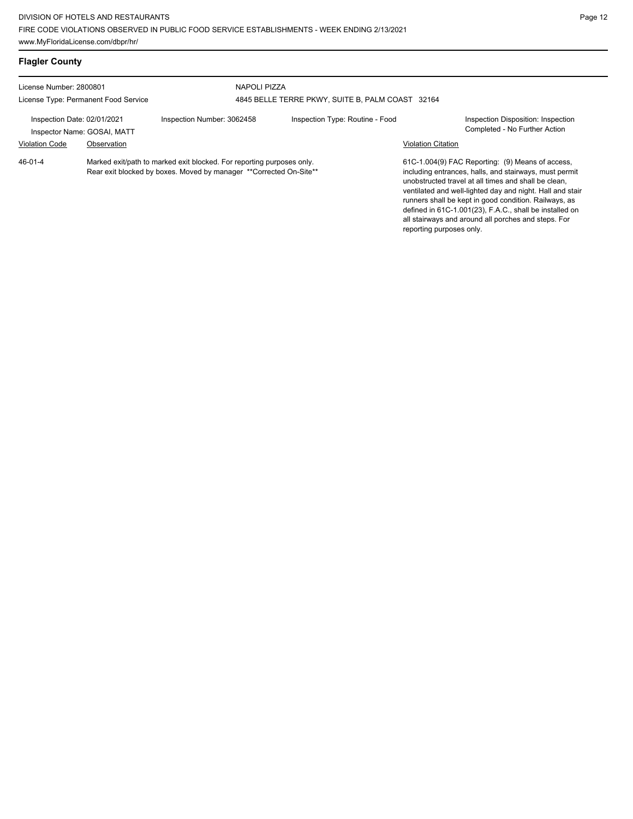| <b>Flagler County</b>                                                                              |             |                                                                                                                                             |                                                                  |                                                       |                                                                                                                                                                                                                                                                                                                                                                                                            |  |
|----------------------------------------------------------------------------------------------------|-------------|---------------------------------------------------------------------------------------------------------------------------------------------|------------------------------------------------------------------|-------------------------------------------------------|------------------------------------------------------------------------------------------------------------------------------------------------------------------------------------------------------------------------------------------------------------------------------------------------------------------------------------------------------------------------------------------------------------|--|
| License Number: 2800801                                                                            |             |                                                                                                                                             | NAPOLI PIZZA<br>4845 BELLE TERRE PKWY, SUITE B, PALM COAST 32164 |                                                       |                                                                                                                                                                                                                                                                                                                                                                                                            |  |
| License Type: Permanent Food Service<br>Inspection Date: 02/01/2021<br>Inspector Name: GOSAI, MATT |             | Inspection Number: 3062458                                                                                                                  | Inspection Type: Routine - Food                                  |                                                       | Inspection Disposition: Inspection<br>Completed - No Further Action                                                                                                                                                                                                                                                                                                                                        |  |
| <b>Violation Code</b><br>46-01-4                                                                   | Observation | Marked exit/path to marked exit blocked. For reporting purposes only.<br>Rear exit blocked by boxes. Moved by manager **Corrected On-Site** |                                                                  | <b>Violation Citation</b><br>reporting purposes only. | 61C-1.004(9) FAC Reporting: (9) Means of access,<br>including entrances, halls, and stairways, must permit<br>unobstructed travel at all times and shall be clean.<br>ventilated and well-lighted day and night. Hall and stair<br>runners shall be kept in good condition. Railways, as<br>defined in 61C-1.001(23), F.A.C., shall be installed on<br>all stairways and around all porches and steps. For |  |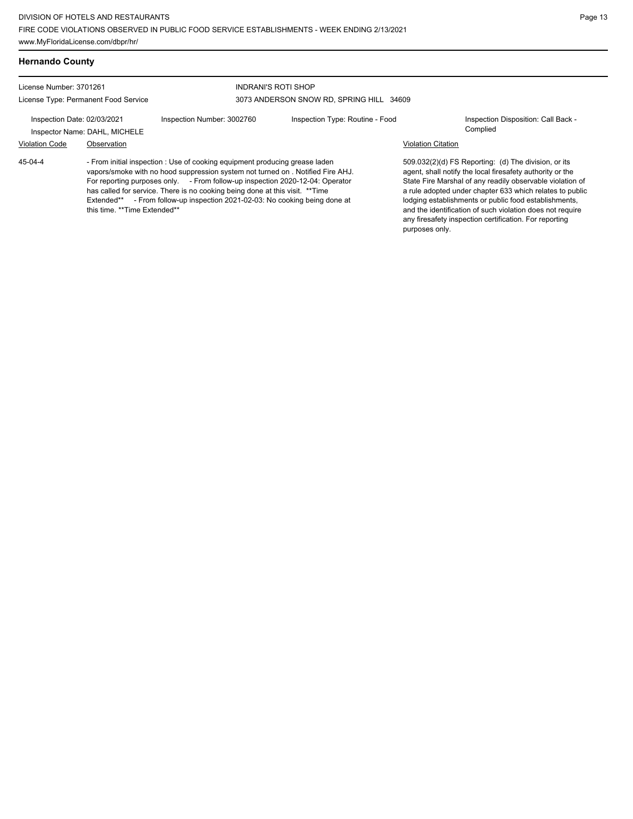| <b>Hernando County</b>      |                                            |                                                                                                                                                                                                                                                                                                                                                                                                      |                                          |                           |                                                                                                                                                                                                                                                                                                                                                                                                                            |
|-----------------------------|--------------------------------------------|------------------------------------------------------------------------------------------------------------------------------------------------------------------------------------------------------------------------------------------------------------------------------------------------------------------------------------------------------------------------------------------------------|------------------------------------------|---------------------------|----------------------------------------------------------------------------------------------------------------------------------------------------------------------------------------------------------------------------------------------------------------------------------------------------------------------------------------------------------------------------------------------------------------------------|
| License Number: 3701261     |                                            | <b>INDRANI'S ROTI SHOP</b>                                                                                                                                                                                                                                                                                                                                                                           |                                          |                           |                                                                                                                                                                                                                                                                                                                                                                                                                            |
|                             | License Type: Permanent Food Service       |                                                                                                                                                                                                                                                                                                                                                                                                      | 3073 ANDERSON SNOW RD, SPRING HILL 34609 |                           |                                                                                                                                                                                                                                                                                                                                                                                                                            |
| Inspection Date: 02/03/2021 | Inspector Name: DAHL, MICHELE              | Inspection Number: 3002760                                                                                                                                                                                                                                                                                                                                                                           | Inspection Type: Routine - Food          |                           | Inspection Disposition: Call Back -<br>Complied                                                                                                                                                                                                                                                                                                                                                                            |
| <b>Violation Code</b>       | Observation                                |                                                                                                                                                                                                                                                                                                                                                                                                      |                                          | <b>Violation Citation</b> |                                                                                                                                                                                                                                                                                                                                                                                                                            |
| 45-04-4                     | Extended**<br>this time. **Time Extended** | - From initial inspection : Use of cooking equipment producing grease laden<br>vapors/smoke with no hood suppression system not turned on . Notified Fire AHJ.<br>For reporting purposes only. - From follow-up inspection 2020-12-04: Operator<br>has called for service. There is no cooking being done at this visit. ** Time<br>- From follow-up inspection 2021-02-03: No cooking being done at |                                          | purposes only.            | 509.032(2)(d) FS Reporting: (d) The division, or its<br>agent, shall notify the local firesafety authority or the<br>State Fire Marshal of any readily observable violation of<br>a rule adopted under chapter 633 which relates to public<br>lodging establishments or public food establishments,<br>and the identification of such violation does not require<br>any firesafety inspection certification. For reporting |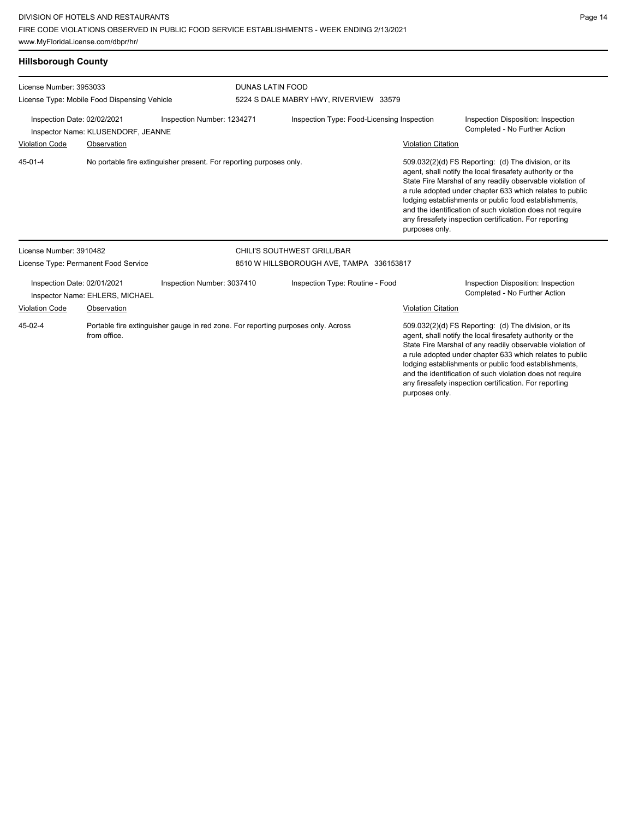| <b>Hillsborough County</b>                                                                      |                                              |                                                                                   |                                          |                                            |                           |                                                                                                                                                                                                                                                                                                                                                                                                                            |
|-------------------------------------------------------------------------------------------------|----------------------------------------------|-----------------------------------------------------------------------------------|------------------------------------------|--------------------------------------------|---------------------------|----------------------------------------------------------------------------------------------------------------------------------------------------------------------------------------------------------------------------------------------------------------------------------------------------------------------------------------------------------------------------------------------------------------------------|
| License Number: 3953033                                                                         |                                              |                                                                                   | <b>DUNAS LATIN FOOD</b>                  |                                            |                           |                                                                                                                                                                                                                                                                                                                                                                                                                            |
|                                                                                                 | License Type: Mobile Food Dispensing Vehicle |                                                                                   |                                          | 5224 S DALE MABRY HWY, RIVERVIEW 33579     |                           |                                                                                                                                                                                                                                                                                                                                                                                                                            |
| Inspection Date: 02/02/2021<br>Inspection Number: 1234271<br>Inspector Name: KLUSENDORF, JEANNE |                                              |                                                                                   |                                          | Inspection Type: Food-Licensing Inspection |                           | Inspection Disposition: Inspection<br>Completed - No Further Action                                                                                                                                                                                                                                                                                                                                                        |
| <b>Violation Code</b>                                                                           | Observation                                  |                                                                                   |                                          |                                            | <b>Violation Citation</b> |                                                                                                                                                                                                                                                                                                                                                                                                                            |
| 45-01-4                                                                                         |                                              | No portable fire extinguisher present. For reporting purposes only.               |                                          |                                            | purposes only.            | 509.032(2)(d) FS Reporting: (d) The division, or its<br>agent, shall notify the local firesafety authority or the<br>State Fire Marshal of any readily observable violation of<br>a rule adopted under chapter 633 which relates to public<br>lodging establishments or public food establishments,<br>and the identification of such violation does not require<br>any firesafety inspection certification. For reporting |
| License Number: 3910482                                                                         |                                              |                                                                                   |                                          | CHILI'S SOUTHWEST GRILL/BAR                |                           |                                                                                                                                                                                                                                                                                                                                                                                                                            |
|                                                                                                 | License Type: Permanent Food Service         |                                                                                   | 8510 W HILLSBOROUGH AVE, TAMPA 336153817 |                                            |                           |                                                                                                                                                                                                                                                                                                                                                                                                                            |
| Inspection Date: 02/01/2021                                                                     | Inspector Name: EHLERS, MICHAEL              | Inspection Number: 3037410                                                        |                                          | Inspection Type: Routine - Food            |                           | Inspection Disposition: Inspection<br>Completed - No Further Action                                                                                                                                                                                                                                                                                                                                                        |
| Violation Code                                                                                  | Observation                                  |                                                                                   |                                          |                                            | <b>Violation Citation</b> |                                                                                                                                                                                                                                                                                                                                                                                                                            |
| 45-02-4                                                                                         | from office.                                 | Portable fire extinguisher gauge in red zone. For reporting purposes only. Across |                                          |                                            |                           | 509.032(2)(d) FS Reporting: (d) The division, or its<br>agent, shall notify the local firesafety authority or the<br>State Fire Marshal of any readily observable violation of<br>a rule adopted under chapter 633 which relates to public<br>lodging establishments or public food establishments,<br>and the identification of such violation does not require<br>any firesafety inspection certification. For reporting |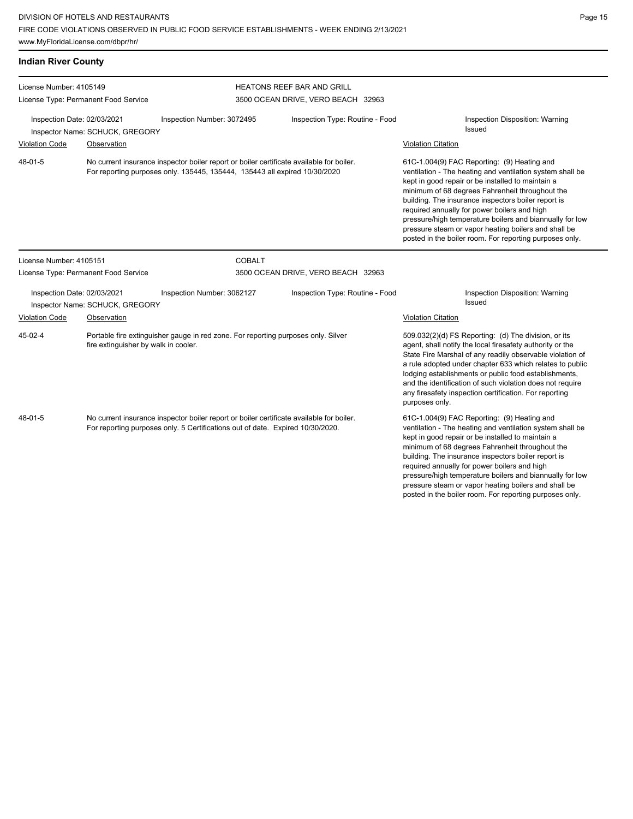| <b>Indian River County</b>  |                                                                                                                                                                        |                                                                                                                                                                            |                                                                  |                                                                                                                                                                                                                                                                                                                                                                                                                                                                                                        |
|-----------------------------|------------------------------------------------------------------------------------------------------------------------------------------------------------------------|----------------------------------------------------------------------------------------------------------------------------------------------------------------------------|------------------------------------------------------------------|--------------------------------------------------------------------------------------------------------------------------------------------------------------------------------------------------------------------------------------------------------------------------------------------------------------------------------------------------------------------------------------------------------------------------------------------------------------------------------------------------------|
|                             | License Number: 4105149<br>License Type: Permanent Food Service                                                                                                        |                                                                                                                                                                            | HEATONS REEF BAR AND GRILL<br>3500 OCEAN DRIVE, VERO BEACH 32963 |                                                                                                                                                                                                                                                                                                                                                                                                                                                                                                        |
| Inspection Date: 02/03/2021 | Inspector Name: SCHUCK, GREGORY                                                                                                                                        | Inspection Number: 3072495                                                                                                                                                 | Inspection Type: Routine - Food                                  | Inspection Disposition: Warning<br>Issued                                                                                                                                                                                                                                                                                                                                                                                                                                                              |
| <b>Violation Code</b>       | Observation                                                                                                                                                            |                                                                                                                                                                            |                                                                  | <b>Violation Citation</b>                                                                                                                                                                                                                                                                                                                                                                                                                                                                              |
| 48-01-5                     | No current insurance inspector boiler report or boiler certificate available for boiler.<br>For reporting purposes only. 135445, 135444, 135443 all expired 10/30/2020 |                                                                                                                                                                            |                                                                  | 61C-1.004(9) FAC Reporting: (9) Heating and<br>ventilation - The heating and ventilation system shall be<br>kept in good repair or be installed to maintain a<br>minimum of 68 degrees Fahrenheit throughout the<br>building. The insurance inspectors boiler report is<br>required annually for power boilers and high<br>pressure/high temperature boilers and biannually for low<br>pressure steam or vapor heating boilers and shall be<br>posted in the boiler room. For reporting purposes only. |
| License Number: 4105151     |                                                                                                                                                                        | <b>COBALT</b>                                                                                                                                                              |                                                                  |                                                                                                                                                                                                                                                                                                                                                                                                                                                                                                        |
|                             | License Type: Permanent Food Service                                                                                                                                   |                                                                                                                                                                            | 3500 OCEAN DRIVE, VERO BEACH 32963                               |                                                                                                                                                                                                                                                                                                                                                                                                                                                                                                        |
| Inspection Date: 02/03/2021 | Inspector Name: SCHUCK, GREGORY                                                                                                                                        | Inspection Number: 3062127                                                                                                                                                 | Inspection Type: Routine - Food                                  | Inspection Disposition: Warning<br>Issued                                                                                                                                                                                                                                                                                                                                                                                                                                                              |
| <b>Violation Code</b>       | Observation                                                                                                                                                            |                                                                                                                                                                            |                                                                  | <b>Violation Citation</b>                                                                                                                                                                                                                                                                                                                                                                                                                                                                              |
| 45-02-4                     |                                                                                                                                                                        | Portable fire extinguisher gauge in red zone. For reporting purposes only. Silver<br>fire extinguisher by walk in cooler.                                                  |                                                                  | 509.032(2)(d) FS Reporting: (d) The division, or its<br>agent, shall notify the local firesafety authority or the<br>State Fire Marshal of any readily observable violation of<br>a rule adopted under chapter 633 which relates to public<br>lodging establishments or public food establishments,<br>and the identification of such violation does not require<br>any firesafety inspection certification. For reporting<br>purposes only.                                                           |
| 48-01-5                     |                                                                                                                                                                        | No current insurance inspector boiler report or boiler certificate available for boiler.<br>For reporting purposes only. 5 Certifications out of date. Expired 10/30/2020. |                                                                  | 61C-1.004(9) FAC Reporting: (9) Heating and<br>ventilation - The heating and ventilation system shall be<br>kept in good repair or be installed to maintain a<br>minimum of 68 degrees Fahrenheit throughout the<br>building. The insurance inspectors boiler report is<br>required annually for power boilers and high<br>pressure/high temperature boilers and biannually for low<br>pressure steam or vapor heating boilers and shall be<br>posted in the boiler room. For reporting purposes only. |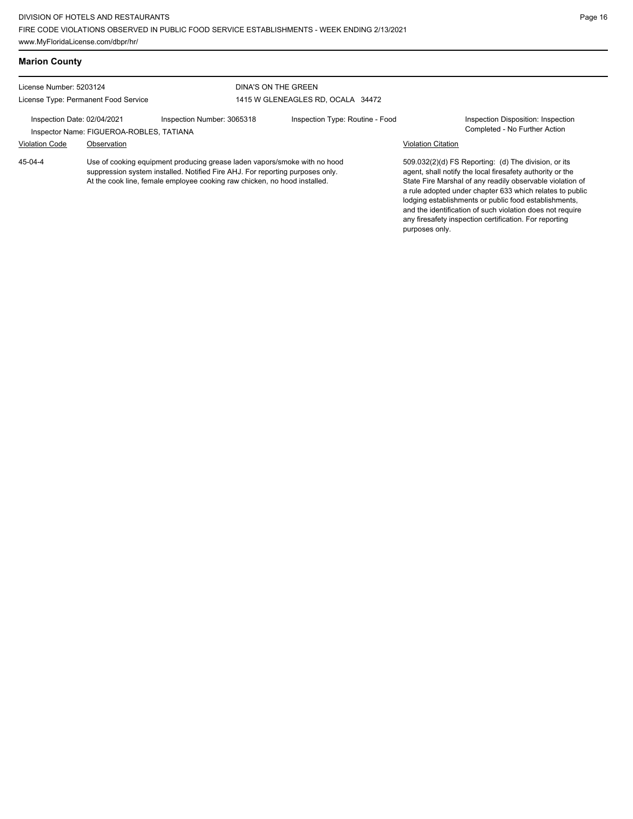## **Marion County**

License Number: 5203124 License Type: Permanent Food Service

### DINA'S ON THE GREEN 1415 W GLENEAGLES RD, OCALA 34472

Inspection Date: 02/04/2021 Inspection Number: 3065318 Inspection Type: Routine - Food Inspection Disposition: Inspection Inspector Name: FIGUEROA-ROBLES, TATIANA Violation Code Observation Violation Citation

Use of cooking equipment producing grease laden vapors/smoke with no hood suppression system installed. Notified Fire AHJ. For reporting purposes only. At the cook line, female employee cooking raw chicken, no hood installed. 45-04-4

509.032(2)(d) FS Reporting: (d) The division, or its agent, shall notify the local firesafety authority or the State Fire Marshal of any readily observable violation of a rule adopted under chapter 633 which relates to public lodging establishments or public food establishments, and the identification of such violation does not require any firesafety inspection certification. For reporting purposes only.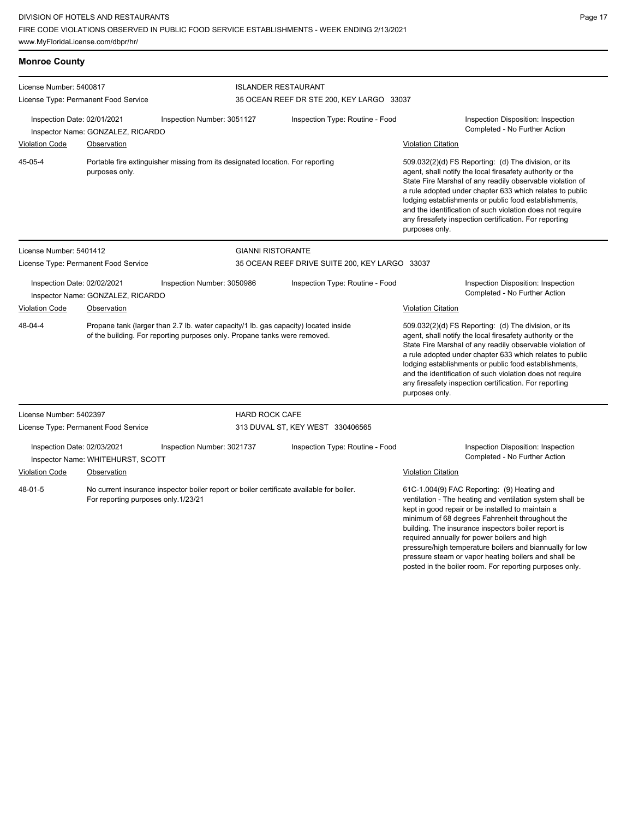www.MyFloridaLicense.com/dbpr/hr/

**Monroe County**

| ,我们也不会有什么?""我们的人,我们也不会不会不会。""我们的人,我们也不会不会不会不会。""我们的人,我们也不会不会不会。""我们的人,我们也不会不会不会。" |  |  |
|-----------------------------------------------------------------------------------|--|--|
|                                                                                   |  |  |
|                                                                                   |  |  |
|                                                                                   |  |  |
| ,我们也不会有什么?""我们的人,我们也不会有什么?""我们的人,我们也不会有什么?""我们的人,我们也不会有什么?""我们的人,我们也不会有什么?""我们的人  |  |  |
|                                                                                   |  |  |

posted in the boiler room. For reporting purposes only.

| License Number: 5400817                              |                                                  |                                                                                                                                                                  | <b>ISLANDER RESTAURANT</b>                     |                           |                                                                                                                                                                                                                                                                                                                                                                                                                                             |  |  |
|------------------------------------------------------|--------------------------------------------------|------------------------------------------------------------------------------------------------------------------------------------------------------------------|------------------------------------------------|---------------------------|---------------------------------------------------------------------------------------------------------------------------------------------------------------------------------------------------------------------------------------------------------------------------------------------------------------------------------------------------------------------------------------------------------------------------------------------|--|--|
|                                                      | License Type: Permanent Food Service             |                                                                                                                                                                  | 35 OCEAN REEF DR STE 200, KEY LARGO 33037      |                           |                                                                                                                                                                                                                                                                                                                                                                                                                                             |  |  |
| Inspection Date: 02/01/2021                          | Inspector Name: GONZALEZ, RICARDO                | Inspection Number: 3051127                                                                                                                                       | Inspection Type: Routine - Food                |                           | Inspection Disposition: Inspection<br>Completed - No Further Action                                                                                                                                                                                                                                                                                                                                                                         |  |  |
| <b>Violation Code</b>                                | Observation                                      |                                                                                                                                                                  |                                                | <b>Violation Citation</b> |                                                                                                                                                                                                                                                                                                                                                                                                                                             |  |  |
| 45-05-4                                              | purposes only.                                   | Portable fire extinguisher missing from its designated location. For reporting                                                                                   |                                                | purposes only.            | 509.032(2)(d) FS Reporting: (d) The division, or its<br>agent, shall notify the local firesafety authority or the<br>State Fire Marshal of any readily observable violation of<br>a rule adopted under chapter 633 which relates to public<br>lodging establishments or public food establishments,<br>and the identification of such violation does not require<br>any firesafety inspection certification. For reporting                  |  |  |
| License Number: 5401412                              |                                                  | <b>GIANNI RISTORANTE</b>                                                                                                                                         |                                                |                           |                                                                                                                                                                                                                                                                                                                                                                                                                                             |  |  |
|                                                      | License Type: Permanent Food Service             |                                                                                                                                                                  | 35 OCEAN REEF DRIVE SUITE 200, KEY LARGO 33037 |                           |                                                                                                                                                                                                                                                                                                                                                                                                                                             |  |  |
| Inspection Date: 02/02/2021<br><b>Violation Code</b> | Inspector Name: GONZALEZ, RICARDO<br>Observation | Inspection Number: 3050986                                                                                                                                       | Inspection Type: Routine - Food                | <b>Violation Citation</b> | Inspection Disposition: Inspection<br>Completed - No Further Action                                                                                                                                                                                                                                                                                                                                                                         |  |  |
| 48-04-4                                              |                                                  | Propane tank (larger than 2.7 lb. water capacity/1 lb. gas capacity) located inside<br>of the building. For reporting purposes only. Propane tanks were removed. |                                                | purposes only.            | 509.032(2)(d) FS Reporting: (d) The division, or its<br>agent, shall notify the local firesafety authority or the<br>State Fire Marshal of any readily observable violation of<br>a rule adopted under chapter 633 which relates to public<br>lodging establishments or public food establishments,<br>and the identification of such violation does not require<br>any firesafety inspection certification. For reporting                  |  |  |
| License Number: 5402397                              |                                                  |                                                                                                                                                                  | <b>HARD ROCK CAFE</b>                          |                           |                                                                                                                                                                                                                                                                                                                                                                                                                                             |  |  |
|                                                      | License Type: Permanent Food Service             |                                                                                                                                                                  | 313 DUVAL ST, KEY WEST 330406565               |                           |                                                                                                                                                                                                                                                                                                                                                                                                                                             |  |  |
| Inspection Date: 02/03/2021                          | Inspector Name: WHITEHURST, SCOTT                | Inspection Number: 3021737                                                                                                                                       | Inspection Type: Routine - Food                |                           | Inspection Disposition: Inspection<br>Completed - No Further Action                                                                                                                                                                                                                                                                                                                                                                         |  |  |
| <b>Violation Code</b>                                | Observation                                      |                                                                                                                                                                  |                                                | <b>Violation Citation</b> |                                                                                                                                                                                                                                                                                                                                                                                                                                             |  |  |
| 48-01-5                                              | For reporting purposes only.1/23/21              | No current insurance inspector boiler report or boiler certificate available for boiler.                                                                         |                                                |                           | 61C-1.004(9) FAC Reporting: (9) Heating and<br>ventilation - The heating and ventilation system shall be<br>kept in good repair or be installed to maintain a<br>minimum of 68 degrees Fahrenheit throughout the<br>building. The insurance inspectors boiler report is<br>required annually for power boilers and high<br>pressure/high temperature boilers and biannually for low<br>pressure steam or vapor heating boilers and shall be |  |  |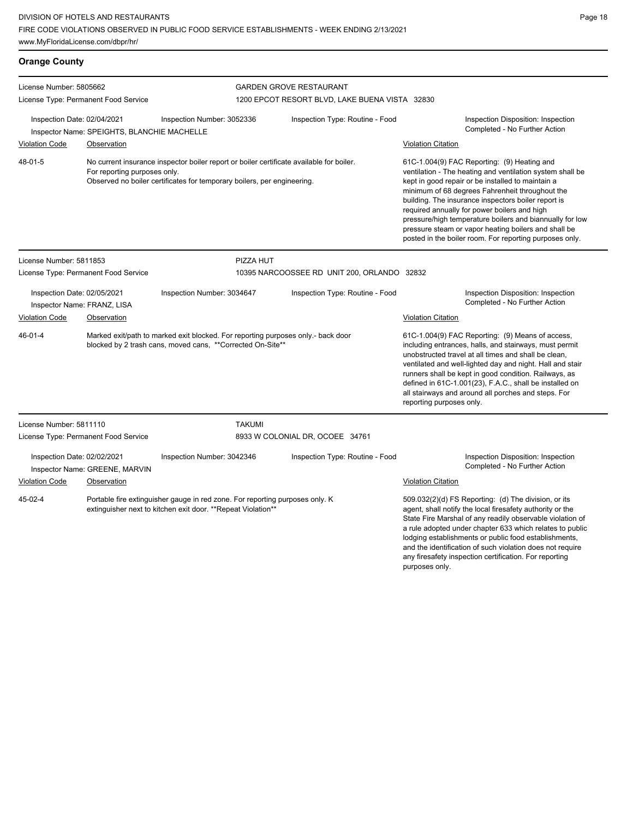| <b>Orange County</b>        |                                             |                                                                                                                                                                     |                                |                                                |                                                                                                                                                                                                                                                                                                                                                                                                                                                                                                        |  |  |
|-----------------------------|---------------------------------------------|---------------------------------------------------------------------------------------------------------------------------------------------------------------------|--------------------------------|------------------------------------------------|--------------------------------------------------------------------------------------------------------------------------------------------------------------------------------------------------------------------------------------------------------------------------------------------------------------------------------------------------------------------------------------------------------------------------------------------------------------------------------------------------------|--|--|
| License Number: 5805662     |                                             |                                                                                                                                                                     | <b>GARDEN GROVE RESTAURANT</b> |                                                |                                                                                                                                                                                                                                                                                                                                                                                                                                                                                                        |  |  |
|                             | License Type: Permanent Food Service        |                                                                                                                                                                     |                                | 1200 EPCOT RESORT BLVD, LAKE BUENA VISTA 32830 |                                                                                                                                                                                                                                                                                                                                                                                                                                                                                                        |  |  |
| Inspection Date: 02/04/2021 | Inspector Name: SPEIGHTS, BLANCHIE MACHELLE | Inspection Number: 3052336                                                                                                                                          |                                | Inspection Type: Routine - Food                | <b>Inspection Disposition: Inspection</b><br>Completed - No Further Action                                                                                                                                                                                                                                                                                                                                                                                                                             |  |  |
| <b>Violation Code</b>       | Observation                                 |                                                                                                                                                                     |                                |                                                | <b>Violation Citation</b>                                                                                                                                                                                                                                                                                                                                                                                                                                                                              |  |  |
| 48-01-5                     | For reporting purposes only.                | No current insurance inspector boiler report or boiler certificate available for boiler.<br>Observed no boiler certificates for temporary boilers, per engineering. |                                |                                                | 61C-1.004(9) FAC Reporting: (9) Heating and<br>ventilation - The heating and ventilation system shall be<br>kept in good repair or be installed to maintain a<br>minimum of 68 degrees Fahrenheit throughout the<br>building. The insurance inspectors boiler report is<br>required annually for power boilers and high<br>pressure/high temperature boilers and biannually for low<br>pressure steam or vapor heating boilers and shall be<br>posted in the boiler room. For reporting purposes only. |  |  |
| License Number: 5811853     |                                             |                                                                                                                                                                     | PIZZA HUT                      |                                                |                                                                                                                                                                                                                                                                                                                                                                                                                                                                                                        |  |  |
|                             | License Type: Permanent Food Service        |                                                                                                                                                                     |                                | 10395 NARCOOSSEE RD UNIT 200, ORLANDO 32832    |                                                                                                                                                                                                                                                                                                                                                                                                                                                                                                        |  |  |
| Inspection Date: 02/05/2021 | Inspector Name: FRANZ, LISA                 | Inspection Number: 3034647                                                                                                                                          |                                | Inspection Type: Routine - Food                | Inspection Disposition: Inspection<br>Completed - No Further Action                                                                                                                                                                                                                                                                                                                                                                                                                                    |  |  |
| <b>Violation Code</b>       | Observation                                 |                                                                                                                                                                     |                                |                                                | <b>Violation Citation</b>                                                                                                                                                                                                                                                                                                                                                                                                                                                                              |  |  |
| 46-01-4                     |                                             | Marked exit/path to marked exit blocked. For reporting purposes only.- back door<br>blocked by 2 trash cans, moved cans, **Corrected On-Site**                      |                                |                                                | 61C-1.004(9) FAC Reporting: (9) Means of access,<br>including entrances, halls, and stairways, must permit<br>unobstructed travel at all times and shall be clean,<br>ventilated and well-lighted day and night. Hall and stair<br>runners shall be kept in good condition. Railways, as<br>defined in 61C-1.001(23), F.A.C., shall be installed on<br>all stairways and around all porches and steps. For<br>reporting purposes only.                                                                 |  |  |
| License Number: 5811110     |                                             |                                                                                                                                                                     | <b>TAKUMI</b>                  |                                                |                                                                                                                                                                                                                                                                                                                                                                                                                                                                                                        |  |  |
|                             | License Type: Permanent Food Service        |                                                                                                                                                                     |                                | 8933 W COLONIAL DR, OCOEE 34761                |                                                                                                                                                                                                                                                                                                                                                                                                                                                                                                        |  |  |
| Inspection Date: 02/02/2021 | Inspector Name: GREENE, MARVIN              | Inspection Number: 3042346                                                                                                                                          |                                | Inspection Type: Routine - Food                | Inspection Disposition: Inspection<br>Completed - No Further Action                                                                                                                                                                                                                                                                                                                                                                                                                                    |  |  |
| <b>Violation Code</b>       | Observation                                 |                                                                                                                                                                     |                                |                                                | <b>Violation Citation</b>                                                                                                                                                                                                                                                                                                                                                                                                                                                                              |  |  |
| 45-02-4                     |                                             | Portable fire extinguisher gauge in red zone. For reporting purposes only. K<br>extinguisher next to kitchen exit door. **Repeat Violation**                        |                                |                                                | 509.032(2)(d) FS Reporting: (d) The division, or its<br>agent, shall notify the local firesafety authority or the<br>State Fire Marshal of any readily observable violation of<br>a rule adopted under chapter 633 which relates to public<br>lodging establishments or public food establishments,<br>and the identification of such violation does not require<br>any firesafety inspection certification. For reporting<br>purposes only.                                                           |  |  |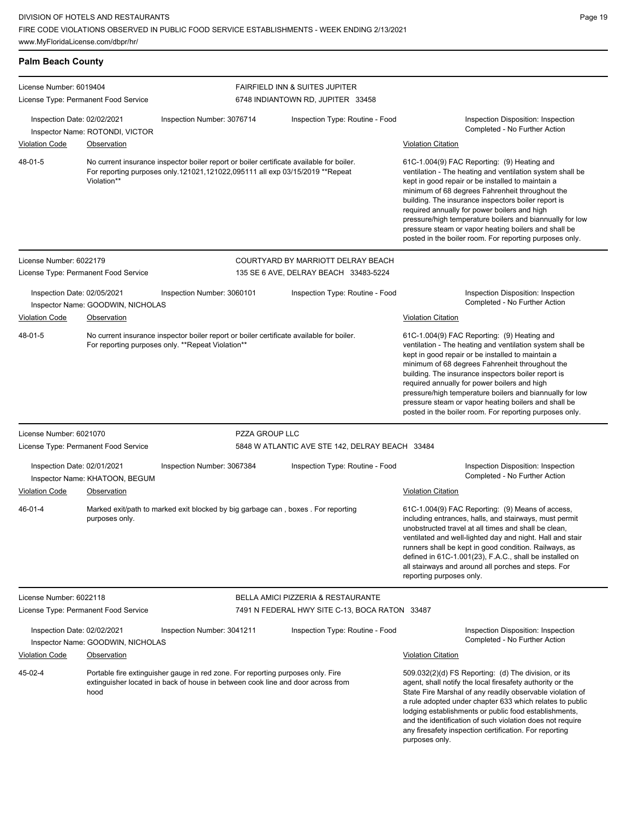| <b>Palm Beach County</b>                             |                                                      |                                                                                                                                                                          |                                                                                                 |                                                                                                                                                                                                                                                                                                                                                                                                                                                                                                                                     |
|------------------------------------------------------|------------------------------------------------------|--------------------------------------------------------------------------------------------------------------------------------------------------------------------------|-------------------------------------------------------------------------------------------------|-------------------------------------------------------------------------------------------------------------------------------------------------------------------------------------------------------------------------------------------------------------------------------------------------------------------------------------------------------------------------------------------------------------------------------------------------------------------------------------------------------------------------------------|
| License Number: 6019404                              | License Type: Permanent Food Service                 |                                                                                                                                                                          | <b>FAIRFIELD INN &amp; SUITES JUPITER</b><br>6748 INDIANTOWN RD, JUPITER 33458                  |                                                                                                                                                                                                                                                                                                                                                                                                                                                                                                                                     |
| Inspection Date: 02/02/2021                          | Inspector Name: ROTONDI, VICTOR                      | Inspection Number: 3076714                                                                                                                                               | Inspection Type: Routine - Food                                                                 | Inspection Disposition: Inspection<br>Completed - No Further Action                                                                                                                                                                                                                                                                                                                                                                                                                                                                 |
| <b>Violation Code</b><br>48-01-5                     | Observation<br>Violation**                           | No current insurance inspector boiler report or boiler certificate available for boiler.<br>For reporting purposes only.121021,121022,095111 all exp 03/15/2019 **Repeat |                                                                                                 | <b>Violation Citation</b><br>61C-1.004(9) FAC Reporting: (9) Heating and<br>ventilation - The heating and ventilation system shall be<br>kept in good repair or be installed to maintain a<br>minimum of 68 degrees Fahrenheit throughout the<br>building. The insurance inspectors boiler report is<br>required annually for power boilers and high<br>pressure/high temperature boilers and biannually for low<br>pressure steam or vapor heating boilers and shall be<br>posted in the boiler room. For reporting purposes only. |
| License Number: 6022179                              | License Type: Permanent Food Service                 |                                                                                                                                                                          | COURTYARD BY MARRIOTT DELRAY BEACH<br>135 SE 6 AVE, DELRAY BEACH 33483-5224                     |                                                                                                                                                                                                                                                                                                                                                                                                                                                                                                                                     |
| Inspection Date: 02/05/2021                          | Inspector Name: GOODWIN, NICHOLAS                    | Inspection Number: 3060101                                                                                                                                               | Inspection Type: Routine - Food                                                                 | Inspection Disposition: Inspection<br>Completed - No Further Action                                                                                                                                                                                                                                                                                                                                                                                                                                                                 |
| <b>Violation Code</b><br>48-01-5                     | Observation                                          | No current insurance inspector boiler report or boiler certificate available for boiler.<br>For reporting purposes only. **Repeat Violation**                            |                                                                                                 | <b>Violation Citation</b><br>61C-1.004(9) FAC Reporting: (9) Heating and<br>ventilation - The heating and ventilation system shall be<br>kept in good repair or be installed to maintain a<br>minimum of 68 degrees Fahrenheit throughout the<br>building. The insurance inspectors boiler report is<br>required annually for power boilers and high<br>pressure/high temperature boilers and biannually for low<br>pressure steam or vapor heating boilers and shall be<br>posted in the boiler room. For reporting purposes only. |
| License Number: 6021070                              | License Type: Permanent Food Service                 | PZZA GROUP LLC                                                                                                                                                           | 5848 W ATLANTIC AVE STE 142, DELRAY BEACH 33484                                                 |                                                                                                                                                                                                                                                                                                                                                                                                                                                                                                                                     |
| Inspection Date: 02/01/2021<br><b>Violation Code</b> | Inspector Name: KHATOON, BEGUM<br><b>Observation</b> | Inspection Number: 3067384                                                                                                                                               | Inspection Type: Routine - Food                                                                 | Inspection Disposition: Inspection<br>Completed - No Further Action<br><b>Violation Citation</b>                                                                                                                                                                                                                                                                                                                                                                                                                                    |
| 46-01-4                                              | purposes only.                                       | Marked exit/path to marked exit blocked by big garbage can, boxes. For reporting                                                                                         |                                                                                                 | 61C-1.004(9) FAC Reporting: (9) Means of access,<br>including entrances, halls, and stairways, must permit<br>unobstructed travel at all times and shall be clean,<br>ventilated and well-lighted day and night. Hall and stair<br>runners shall be kept in good condition. Railways, as<br>defined in 61C-1.001(23), F.A.C., shall be installed on<br>all stairways and around all porches and steps. For<br>reporting purposes only.                                                                                              |
| License Number: 6022118                              | License Type: Permanent Food Service                 |                                                                                                                                                                          | <b>BELLA AMICI PIZZERIA &amp; RESTAURANTE</b><br>7491 N FEDERAL HWY SITE C-13, BOCA RATON 33487 |                                                                                                                                                                                                                                                                                                                                                                                                                                                                                                                                     |
| Inspection Date: 02/02/2021                          | Inspector Name: GOODWIN, NICHOLAS                    | Inspection Number: 3041211                                                                                                                                               | Inspection Type: Routine - Food                                                                 | Inspection Disposition: Inspection<br>Completed - No Further Action                                                                                                                                                                                                                                                                                                                                                                                                                                                                 |
| <b>Violation Code</b>                                | Observation                                          |                                                                                                                                                                          |                                                                                                 | <b>Violation Citation</b>                                                                                                                                                                                                                                                                                                                                                                                                                                                                                                           |
| 45-02-4                                              | hood                                                 | Portable fire extinguisher gauge in red zone. For reporting purposes only. Fire<br>extinguisher located in back of house in between cook line and door across from       |                                                                                                 | 509.032(2)(d) FS Reporting: (d) The division, or its<br>agent, shall notify the local firesafety authority or the<br>State Fire Marshal of any readily observable violation of<br>a rule adopted under chapter 633 which relates to public<br>lodging establishments or public food establishments,<br>and the identification of such violation does not require<br>any firesafety inspection certification. For reporting<br>purposes only.                                                                                        |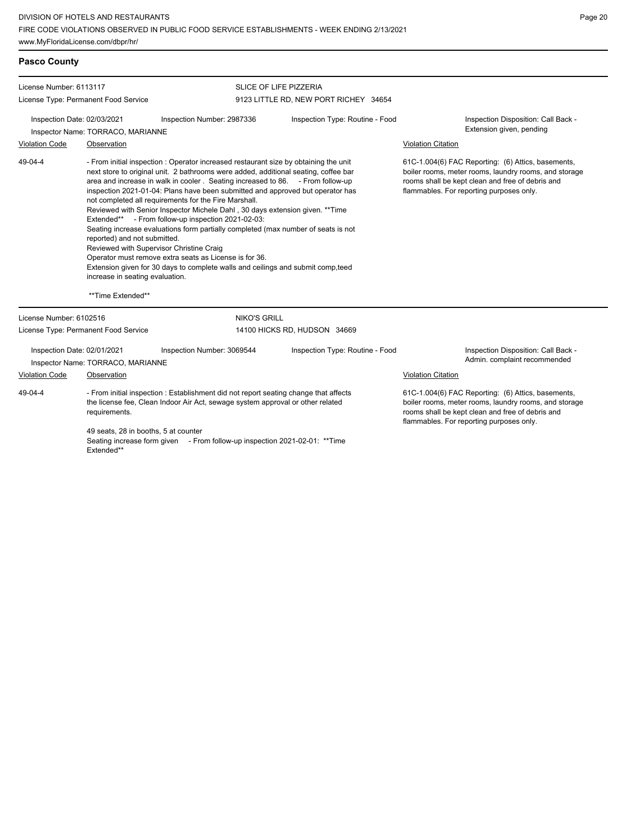DIVISION OF HOTELS AND RESTAURANTS FIRE CODE VIOLATIONS OBSERVED IN PUBLIC FOOD SERVICE ESTABLISHMENTS - WEEK ENDING 2/13/2021 www.MyFloridaLicense.com/dbpr/hr/

| <b>Pasco County</b>     |                                                                                      |                                                                                                                                                                                                                                                                                                                                                                                                                                                                                                                                                                                                                                                                                                                                                                                                                                |                                       |                                                                                                                                                                                                             |  |  |
|-------------------------|--------------------------------------------------------------------------------------|--------------------------------------------------------------------------------------------------------------------------------------------------------------------------------------------------------------------------------------------------------------------------------------------------------------------------------------------------------------------------------------------------------------------------------------------------------------------------------------------------------------------------------------------------------------------------------------------------------------------------------------------------------------------------------------------------------------------------------------------------------------------------------------------------------------------------------|---------------------------------------|-------------------------------------------------------------------------------------------------------------------------------------------------------------------------------------------------------------|--|--|
| License Number: 6113117 |                                                                                      |                                                                                                                                                                                                                                                                                                                                                                                                                                                                                                                                                                                                                                                                                                                                                                                                                                | <b>SLICE OF LIFE PIZZERIA</b>         |                                                                                                                                                                                                             |  |  |
|                         | License Type: Permanent Food Service                                                 |                                                                                                                                                                                                                                                                                                                                                                                                                                                                                                                                                                                                                                                                                                                                                                                                                                | 9123 LITTLE RD, NEW PORT RICHEY 34654 |                                                                                                                                                                                                             |  |  |
|                         | Inspection Date: 02/03/2021<br>Inspector Name: TORRACO, MARIANNE                     | Inspection Number: 2987336                                                                                                                                                                                                                                                                                                                                                                                                                                                                                                                                                                                                                                                                                                                                                                                                     | Inspection Type: Routine - Food       | Inspection Disposition: Call Back -<br>Extension given, pending                                                                                                                                             |  |  |
| <b>Violation Code</b>   | Observation                                                                          |                                                                                                                                                                                                                                                                                                                                                                                                                                                                                                                                                                                                                                                                                                                                                                                                                                |                                       | <b>Violation Citation</b>                                                                                                                                                                                   |  |  |
| 49-04-4                 | reported) and not submitted.<br>increase in seating evaluation.<br>**Time Extended** | - From initial inspection : Operator increased restaurant size by obtaining the unit<br>next store to original unit. 2 bathrooms were added, additional seating, coffee bar<br>area and increase in walk in cooler. Seating increased to 86. - From follow-up<br>inspection 2021-01-04: Plans have been submitted and approved but operator has<br>not completed all requirements for the Fire Marshall.<br>Reviewed with Senior Inspector Michele Dahl, 30 days extension given. ** Time<br>Extended** - From follow-up inspection 2021-02-03:<br>Seating increase evaluations form partially completed (max number of seats is not<br>Reviewed with Supervisor Christine Craig<br>Operator must remove extra seats as License is for 36.<br>Extension given for 30 days to complete walls and ceilings and submit comp, teed |                                       | 61C-1.004(6) FAC Reporting: (6) Attics, basements,<br>boiler rooms, meter rooms, laundry rooms, and storage<br>rooms shall be kept clean and free of debris and<br>flammables. For reporting purposes only. |  |  |
| License Number: 6102516 |                                                                                      | <b>NIKO'S GRILL</b>                                                                                                                                                                                                                                                                                                                                                                                                                                                                                                                                                                                                                                                                                                                                                                                                            |                                       |                                                                                                                                                                                                             |  |  |
|                         | License Type: Permanent Food Service                                                 |                                                                                                                                                                                                                                                                                                                                                                                                                                                                                                                                                                                                                                                                                                                                                                                                                                | 14100 HICKS RD, HUDSON 34669          |                                                                                                                                                                                                             |  |  |
|                         | Inspection Date: 02/01/2021<br>Inspector Name: TORRACO, MARIANNE                     | Inspection Number: 3069544                                                                                                                                                                                                                                                                                                                                                                                                                                                                                                                                                                                                                                                                                                                                                                                                     | Inspection Type: Routine - Food       | Inspection Disposition: Call Back -<br>Admin. complaint recommended                                                                                                                                         |  |  |
| Violation Code          | Observation                                                                          |                                                                                                                                                                                                                                                                                                                                                                                                                                                                                                                                                                                                                                                                                                                                                                                                                                |                                       | <b>Violation Citation</b>                                                                                                                                                                                   |  |  |
| 49-04-4                 | requirements.                                                                        | - From initial inspection : Establishment did not report seating change that affects<br>the license fee, Clean Indoor Air Act, sewage system approval or other related                                                                                                                                                                                                                                                                                                                                                                                                                                                                                                                                                                                                                                                         |                                       | 61C-1.004(6) FAC Reporting: (6) Attics, basements,<br>boiler rooms, meter rooms, laundry rooms, and storage<br>rooms shall be kept clean and free of debris and<br>flammables. For reporting purposes only. |  |  |
|                         | 49 seats, 28 in booths, 5 at counter<br>Extended**                                   | Seating increase form given - From follow-up inspection 2021-02-01: ** Time                                                                                                                                                                                                                                                                                                                                                                                                                                                                                                                                                                                                                                                                                                                                                    |                                       |                                                                                                                                                                                                             |  |  |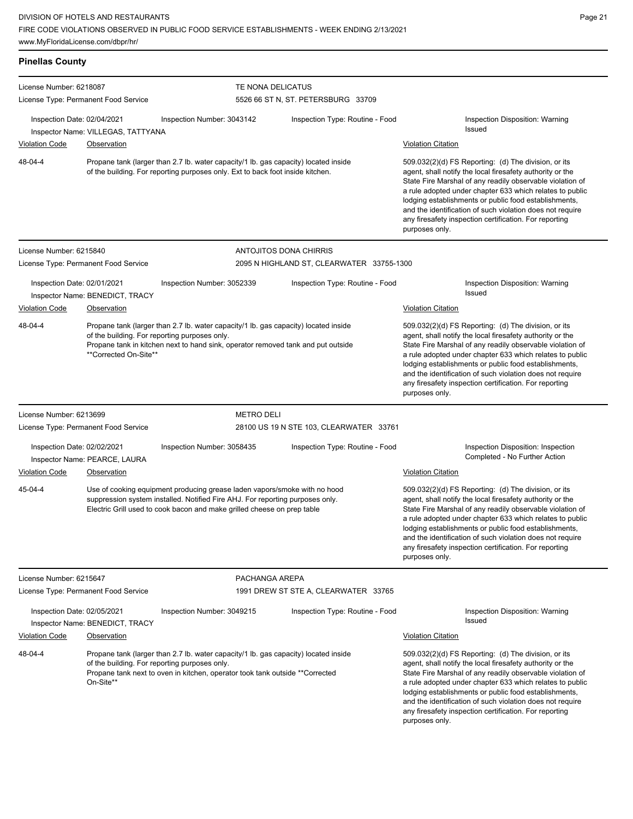| <b>Pinellas County</b>                                                                                                                                                                                                                       |                                                                                                                                                                       |                                                                                                                                                                                                                                       |                                           |                                                                                                                                                                                                                                                                                                                                                                                                                                              |
|----------------------------------------------------------------------------------------------------------------------------------------------------------------------------------------------------------------------------------------------|-----------------------------------------------------------------------------------------------------------------------------------------------------------------------|---------------------------------------------------------------------------------------------------------------------------------------------------------------------------------------------------------------------------------------|-------------------------------------------|----------------------------------------------------------------------------------------------------------------------------------------------------------------------------------------------------------------------------------------------------------------------------------------------------------------------------------------------------------------------------------------------------------------------------------------------|
| License Number: 6218087                                                                                                                                                                                                                      | License Type: Permanent Food Service                                                                                                                                  | TE NONA DELICATUS                                                                                                                                                                                                                     | 5526 66 ST N, ST. PETERSBURG 33709        |                                                                                                                                                                                                                                                                                                                                                                                                                                              |
| Inspection Date: 02/04/2021                                                                                                                                                                                                                  | Inspector Name: VILLEGAS, TATTYANA                                                                                                                                    | Inspection Number: 3043142                                                                                                                                                                                                            | Inspection Type: Routine - Food           | Inspection Disposition: Warning<br>Issued                                                                                                                                                                                                                                                                                                                                                                                                    |
| <b>Violation Code</b>                                                                                                                                                                                                                        | Observation                                                                                                                                                           |                                                                                                                                                                                                                                       |                                           | <b>Violation Citation</b>                                                                                                                                                                                                                                                                                                                                                                                                                    |
| 48-04-4                                                                                                                                                                                                                                      | Propane tank (larger than 2.7 lb. water capacity/1 lb. gas capacity) located inside<br>of the building. For reporting purposes only. Ext to back foot inside kitchen. |                                                                                                                                                                                                                                       |                                           | 509.032(2)(d) FS Reporting: (d) The division, or its<br>agent, shall notify the local firesafety authority or the<br>State Fire Marshal of any readily observable violation of<br>a rule adopted under chapter 633 which relates to public<br>lodging establishments or public food establishments,<br>and the identification of such violation does not require<br>any firesafety inspection certification. For reporting<br>purposes only. |
| License Number: 6215840                                                                                                                                                                                                                      |                                                                                                                                                                       |                                                                                                                                                                                                                                       | <b>ANTOJITOS DONA CHIRRIS</b>             |                                                                                                                                                                                                                                                                                                                                                                                                                                              |
|                                                                                                                                                                                                                                              | License Type: Permanent Food Service                                                                                                                                  |                                                                                                                                                                                                                                       | 2095 N HIGHLAND ST, CLEARWATER 33755-1300 |                                                                                                                                                                                                                                                                                                                                                                                                                                              |
| Inspection Date: 02/01/2021                                                                                                                                                                                                                  | Inspector Name: BENEDICT, TRACY                                                                                                                                       | Inspection Number: 3052339                                                                                                                                                                                                            | Inspection Type: Routine - Food           | Inspection Disposition: Warning<br>Issued                                                                                                                                                                                                                                                                                                                                                                                                    |
| <b>Violation Code</b>                                                                                                                                                                                                                        | <b>Observation</b>                                                                                                                                                    |                                                                                                                                                                                                                                       |                                           | <b>Violation Citation</b>                                                                                                                                                                                                                                                                                                                                                                                                                    |
| 48-04-4                                                                                                                                                                                                                                      | **Corrected On-Site**                                                                                                                                                 | Propane tank (larger than 2.7 lb. water capacity/1 lb. gas capacity) located inside<br>of the building. For reporting purposes only.<br>Propane tank in kitchen next to hand sink, operator removed tank and put outside              |                                           | 509.032(2)(d) FS Reporting: (d) The division, or its<br>agent, shall notify the local firesafety authority or the<br>State Fire Marshal of any readily observable violation of<br>a rule adopted under chapter 633 which relates to public<br>lodging establishments or public food establishments,<br>and the identification of such violation does not require<br>any firesafety inspection certification. For reporting<br>purposes only. |
| License Number: 6213699                                                                                                                                                                                                                      |                                                                                                                                                                       | <b>METRO DELI</b>                                                                                                                                                                                                                     |                                           |                                                                                                                                                                                                                                                                                                                                                                                                                                              |
|                                                                                                                                                                                                                                              | License Type: Permanent Food Service                                                                                                                                  |                                                                                                                                                                                                                                       | 28100 US 19 N STE 103, CLEARWATER 33761   |                                                                                                                                                                                                                                                                                                                                                                                                                                              |
| Inspection Date: 02/02/2021                                                                                                                                                                                                                  | Inspector Name: PEARCE, LAURA                                                                                                                                         | Inspection Number: 3058435                                                                                                                                                                                                            | Inspection Type: Routine - Food           | Inspection Disposition: Inspection<br>Completed - No Further Action                                                                                                                                                                                                                                                                                                                                                                          |
| Violation Code                                                                                                                                                                                                                               | Observation                                                                                                                                                           |                                                                                                                                                                                                                                       |                                           | <b>Violation Citation</b>                                                                                                                                                                                                                                                                                                                                                                                                                    |
| 45-04-4                                                                                                                                                                                                                                      |                                                                                                                                                                       | Use of cooking equipment producing grease laden vapors/smoke with no hood<br>suppression system installed. Notified Fire AHJ. For reporting purposes only.<br>Electric Grill used to cook bacon and make grilled cheese on prep table |                                           | 509.032(2)(d) FS Reporting: (d) The division, or its<br>agent, shall notify the local firesafety authority or the<br>State Fire Marshal of any readily observable violation of<br>a rule adopted under chapter 633 which relates to public<br>lodging establishments or public food establishments,<br>and the identification of such violation does not require<br>any firesafety inspection certification. For reporting<br>purposes only. |
| License Number: 6215647                                                                                                                                                                                                                      |                                                                                                                                                                       | PACHANGA AREPA                                                                                                                                                                                                                        |                                           |                                                                                                                                                                                                                                                                                                                                                                                                                                              |
|                                                                                                                                                                                                                                              | License Type: Permanent Food Service                                                                                                                                  |                                                                                                                                                                                                                                       | 1991 DREW ST STE A, CLEARWATER 33765      |                                                                                                                                                                                                                                                                                                                                                                                                                                              |
| Inspection Date: 02/05/2021                                                                                                                                                                                                                  | Inspector Name: BENEDICT, TRACY                                                                                                                                       | Inspection Number: 3049215                                                                                                                                                                                                            | Inspection Type: Routine - Food           | Inspection Disposition: Warning<br>Issued                                                                                                                                                                                                                                                                                                                                                                                                    |
| <b>Violation Code</b>                                                                                                                                                                                                                        | Observation                                                                                                                                                           |                                                                                                                                                                                                                                       |                                           | <b>Violation Citation</b>                                                                                                                                                                                                                                                                                                                                                                                                                    |
| 48-04-4<br>Propane tank (larger than 2.7 lb. water capacity/1 lb. gas capacity) located inside<br>of the building. For reporting purposes only.<br>Propane tank next to oven in kitchen, operator took tank outside **Corrected<br>On-Site** |                                                                                                                                                                       |                                                                                                                                                                                                                                       |                                           | 509.032(2)(d) FS Reporting: (d) The division, or its<br>agent, shall notify the local firesafety authority or the<br>State Fire Marshal of any readily observable violation of<br>a rule adopted under chapter 633 which relates to public<br>lodging establishments or public food establishments,<br>and the identification of such violation does not require<br>any firesafety inspection certification. For reporting<br>purposes only. |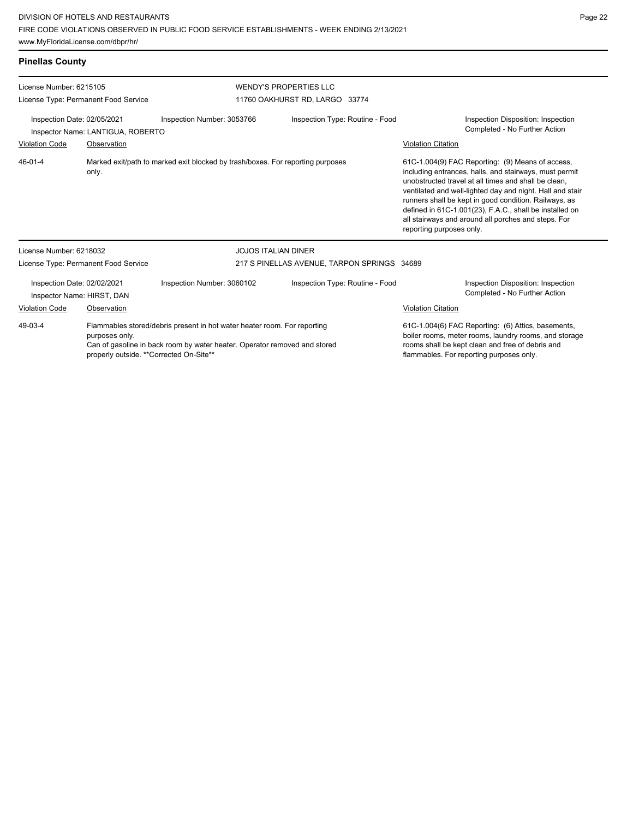| <b>Pinellas County</b>                                               |                                      |                                                                                                                                                       |                                                                 |                                                                                                                                                                                                                                                                                                                                                                                                                                        |  |
|----------------------------------------------------------------------|--------------------------------------|-------------------------------------------------------------------------------------------------------------------------------------------------------|-----------------------------------------------------------------|----------------------------------------------------------------------------------------------------------------------------------------------------------------------------------------------------------------------------------------------------------------------------------------------------------------------------------------------------------------------------------------------------------------------------------------|--|
| License Number: 6215105                                              | License Type: Permanent Food Service |                                                                                                                                                       | <b>WENDY'S PROPERTIES LLC</b><br>11760 OAKHURST RD, LARGO 33774 |                                                                                                                                                                                                                                                                                                                                                                                                                                        |  |
| Inspection Date: 02/05/2021<br>Inspector Name: LANTIGUA, ROBERTO     |                                      | Inspection Type: Routine - Food<br>Inspection Number: 3053766                                                                                         |                                                                 | Inspection Disposition: Inspection<br>Completed - No Further Action                                                                                                                                                                                                                                                                                                                                                                    |  |
| <b>Violation Code</b>                                                | Observation                          |                                                                                                                                                       |                                                                 | <b>Violation Citation</b>                                                                                                                                                                                                                                                                                                                                                                                                              |  |
| $46 - 01 - 4$                                                        | only.                                | Marked exit/path to marked exit blocked by trash/boxes. For reporting purposes                                                                        |                                                                 | 61C-1.004(9) FAC Reporting: (9) Means of access,<br>including entrances, halls, and stairways, must permit<br>unobstructed travel at all times and shall be clean.<br>ventilated and well-lighted day and night. Hall and stair<br>runners shall be kept in good condition. Railways, as<br>defined in 61C-1.001(23), F.A.C., shall be installed on<br>all stairways and around all porches and steps. For<br>reporting purposes only. |  |
| License Number: 6218032                                              |                                      |                                                                                                                                                       | <b>JOJOS ITALIAN DINER</b>                                      |                                                                                                                                                                                                                                                                                                                                                                                                                                        |  |
|                                                                      | License Type: Permanent Food Service | 217 S PINELLAS AVENUE, TARPON SPRINGS 34689                                                                                                           |                                                                 |                                                                                                                                                                                                                                                                                                                                                                                                                                        |  |
| Inspection Date: 02/02/2021<br>Inspector Name: HIRST, DAN            |                                      | Inspection Number: 3060102                                                                                                                            | Inspection Type: Routine - Food                                 | Inspection Disposition: Inspection<br>Completed - No Further Action                                                                                                                                                                                                                                                                                                                                                                    |  |
| <b>Violation Code</b>                                                | Observation                          |                                                                                                                                                       |                                                                 | <b>Violation Citation</b>                                                                                                                                                                                                                                                                                                                                                                                                              |  |
| 49-03-4<br>purposes only.<br>properly outside. **Corrected On-Site** |                                      | Flammables stored/debris present in hot water heater room. For reporting<br>Can of gasoline in back room by water heater. Operator removed and stored |                                                                 | 61C-1.004(6) FAC Reporting: (6) Attics, basements,<br>boiler rooms, meter rooms, laundry rooms, and storage<br>rooms shall be kept clean and free of debris and<br>flammables. For reporting purposes only.                                                                                                                                                                                                                            |  |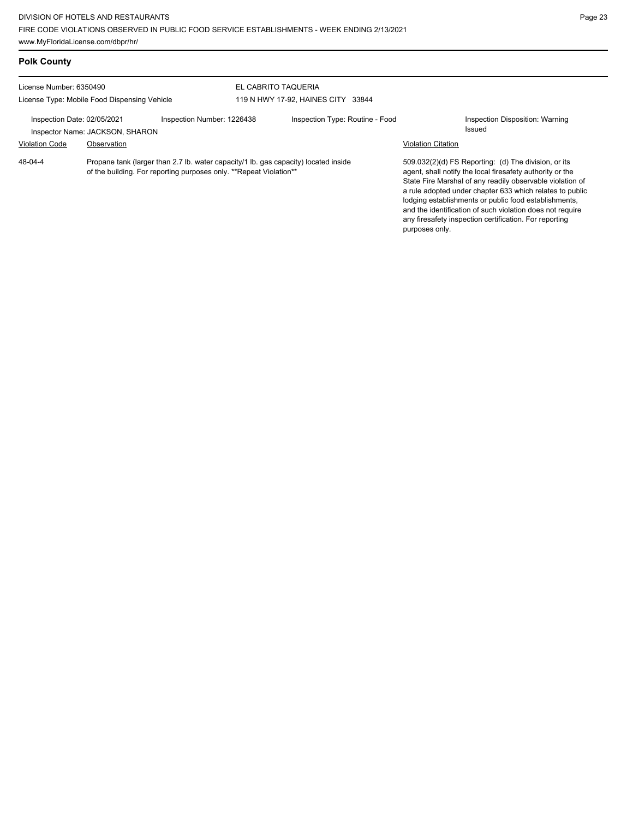| <b>Polk County</b>                           |                                 |                                                                                                                                                           |                                    |                                 |                           |                                                                                                                                                                                                                                                                                                                                                                                                                            |
|----------------------------------------------|---------------------------------|-----------------------------------------------------------------------------------------------------------------------------------------------------------|------------------------------------|---------------------------------|---------------------------|----------------------------------------------------------------------------------------------------------------------------------------------------------------------------------------------------------------------------------------------------------------------------------------------------------------------------------------------------------------------------------------------------------------------------|
| License Number: 6350490                      |                                 |                                                                                                                                                           | EL CABRITO TAQUERIA                |                                 |                           |                                                                                                                                                                                                                                                                                                                                                                                                                            |
| License Type: Mobile Food Dispensing Vehicle |                                 |                                                                                                                                                           | 119 N HWY 17-92, HAINES CITY 33844 |                                 |                           |                                                                                                                                                                                                                                                                                                                                                                                                                            |
| Inspection Date: 02/05/2021                  | Inspector Name: JACKSON, SHARON | Inspection Number: 1226438                                                                                                                                |                                    | Inspection Type: Routine - Food |                           | Inspection Disposition: Warning<br>Issued                                                                                                                                                                                                                                                                                                                                                                                  |
| <b>Violation Code</b>                        | Observation                     |                                                                                                                                                           |                                    |                                 | <b>Violation Citation</b> |                                                                                                                                                                                                                                                                                                                                                                                                                            |
| $48 - 04 - 4$                                |                                 | Propane tank (larger than 2.7 lb. water capacity/1 lb. gas capacity) located inside<br>of the building. For reporting purposes only. **Repeat Violation** |                                    |                                 |                           | 509.032(2)(d) FS Reporting: (d) The division, or its<br>agent, shall notify the local firesafety authority or the<br>State Fire Marshal of any readily observable violation of<br>a rule adopted under chapter 633 which relates to public<br>lodging establishments or public food establishments,<br>and the identification of such violation does not require<br>any firesafety inspection certification. For reporting |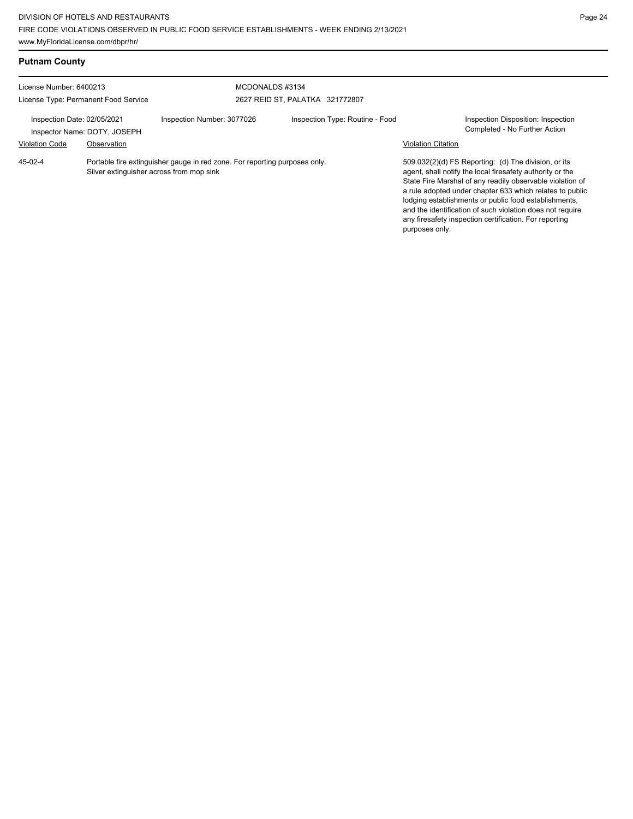| <b>Putnam County</b>                                            |                                                                                                                        |                            |                                                    |                           |                                                                                                                                                                                                                                                                                                                                                                                                                            |
|-----------------------------------------------------------------|------------------------------------------------------------------------------------------------------------------------|----------------------------|----------------------------------------------------|---------------------------|----------------------------------------------------------------------------------------------------------------------------------------------------------------------------------------------------------------------------------------------------------------------------------------------------------------------------------------------------------------------------------------------------------------------------|
| License Number: 6400213<br>License Type: Permanent Food Service |                                                                                                                        |                            | MCDONALDS #3134<br>2627 REID ST, PALATKA 321772807 |                           |                                                                                                                                                                                                                                                                                                                                                                                                                            |
| Inspection Date: 02/05/2021<br>Inspector Name: DOTY, JOSEPH     |                                                                                                                        | Inspection Number: 3077026 | Inspection Type: Routine - Food                    |                           | Inspection Disposition: Inspection<br>Completed - No Further Action                                                                                                                                                                                                                                                                                                                                                        |
| <b>Violation Code</b>                                           | Observation                                                                                                            |                            |                                                    | <b>Violation Citation</b> |                                                                                                                                                                                                                                                                                                                                                                                                                            |
| 45-02-4                                                         | Portable fire extinguisher gauge in red zone. For reporting purposes only.<br>Silver extinguisher across from mop sink |                            |                                                    | purposes only.            | 509.032(2)(d) FS Reporting: (d) The division, or its<br>agent, shall notify the local firesafety authority or the<br>State Fire Marshal of any readily observable violation of<br>a rule adopted under chapter 633 which relates to public<br>lodging establishments or public food establishments.<br>and the identification of such violation does not require<br>any firesafety inspection certification. For reporting |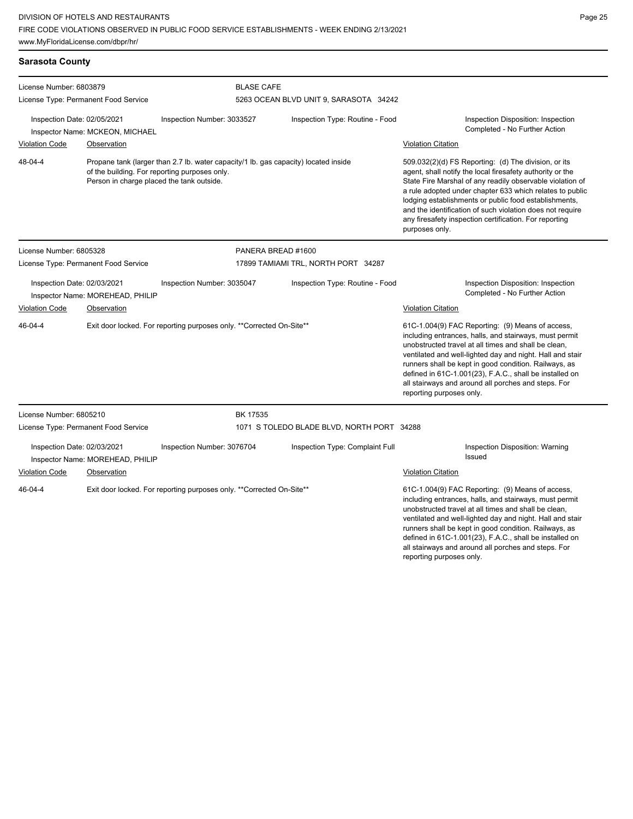all stairways and around all porches and steps. For

reporting purposes only.

| <b>Sarasota County</b>                                                                                                                                                        |                                                                                            |                                                                                     |                                                             |                                                                                                  |                                                                                                                                                                                                                                                                                                                                                                                                                                              |  |  |
|-------------------------------------------------------------------------------------------------------------------------------------------------------------------------------|--------------------------------------------------------------------------------------------|-------------------------------------------------------------------------------------|-------------------------------------------------------------|--------------------------------------------------------------------------------------------------|----------------------------------------------------------------------------------------------------------------------------------------------------------------------------------------------------------------------------------------------------------------------------------------------------------------------------------------------------------------------------------------------------------------------------------------------|--|--|
| License Number: 6803879<br>License Type: Permanent Food Service                                                                                                               |                                                                                            |                                                                                     | <b>BLASE CAFE</b><br>5263 OCEAN BLVD UNIT 9, SARASOTA 34242 |                                                                                                  |                                                                                                                                                                                                                                                                                                                                                                                                                                              |  |  |
| Inspection Date: 02/05/2021<br>Inspection Number: 3033527<br>Inspector Name: MCKEON, MICHAEL<br><b>Violation Code</b><br>Observation                                          |                                                                                            | Inspection Type: Routine - Food                                                     |                                                             | Inspection Disposition: Inspection<br>Completed - No Further Action<br><b>Violation Citation</b> |                                                                                                                                                                                                                                                                                                                                                                                                                                              |  |  |
| 48-04-4                                                                                                                                                                       | of the building. For reporting purposes only.<br>Person in charge placed the tank outside. | Propane tank (larger than 2.7 lb. water capacity/1 lb. gas capacity) located inside |                                                             |                                                                                                  | 509.032(2)(d) FS Reporting: (d) The division, or its<br>agent, shall notify the local firesafety authority or the<br>State Fire Marshal of any readily observable violation of<br>a rule adopted under chapter 633 which relates to public<br>lodging establishments or public food establishments,<br>and the identification of such violation does not require<br>any firesafety inspection certification. For reporting<br>purposes only. |  |  |
| License Number: 6805328                                                                                                                                                       |                                                                                            | PANERA BREAD #1600                                                                  |                                                             |                                                                                                  |                                                                                                                                                                                                                                                                                                                                                                                                                                              |  |  |
| License Type: Permanent Food Service<br>Inspection Date: 02/03/2021<br>Inspection Number: 3035047<br>Inspector Name: MOREHEAD, PHILIP<br><b>Violation Code</b><br>Observation |                                                                                            | 17899 TAMIAMI TRL, NORTH PORT 34287<br>Inspection Type: Routine - Food              |                                                             | Inspection Disposition: Inspection<br>Completed - No Further Action<br>Violation Citation        |                                                                                                                                                                                                                                                                                                                                                                                                                                              |  |  |
| 46-04-4                                                                                                                                                                       |                                                                                            | Exit door locked. For reporting purposes only. **Corrected On-Site**                |                                                             |                                                                                                  | 61C-1.004(9) FAC Reporting: (9) Means of access,<br>including entrances, halls, and stairways, must permit<br>unobstructed travel at all times and shall be clean,<br>ventilated and well-lighted day and night. Hall and stair<br>runners shall be kept in good condition. Railways, as<br>defined in 61C-1.001(23), F.A.C., shall be installed on<br>all stairways and around all porches and steps. For<br>reporting purposes only.       |  |  |
| License Number: 6805210                                                                                                                                                       |                                                                                            | BK 17535                                                                            |                                                             |                                                                                                  |                                                                                                                                                                                                                                                                                                                                                                                                                                              |  |  |
|                                                                                                                                                                               | License Type: Permanent Food Service                                                       |                                                                                     |                                                             | 1071 S TOLEDO BLADE BLVD, NORTH PORT 34288                                                       |                                                                                                                                                                                                                                                                                                                                                                                                                                              |  |  |
| Inspection Date: 02/03/2021                                                                                                                                                   | Inspector Name: MOREHEAD, PHILIP                                                           | Inspection Number: 3076704                                                          |                                                             | Inspection Type: Complaint Full                                                                  | Inspection Disposition: Warning<br>Issued                                                                                                                                                                                                                                                                                                                                                                                                    |  |  |
| <b>Violation Code</b>                                                                                                                                                         | Observation                                                                                |                                                                                     |                                                             |                                                                                                  | <b>Violation Citation</b>                                                                                                                                                                                                                                                                                                                                                                                                                    |  |  |
| 46-04-4<br>Exit door locked. For reporting purposes only. **Corrected On-Site**                                                                                               |                                                                                            |                                                                                     |                                                             |                                                                                                  | 61C-1.004(9) FAC Reporting: (9) Means of access,<br>including entrances, halls, and stairways, must permit<br>unobstructed travel at all times and shall be clean,<br>ventilated and well-lighted day and night. Hall and stair<br>runners shall be kept in good condition. Railways, as<br>defined in 61C-1.001(23), F.A.C., shall be installed on                                                                                          |  |  |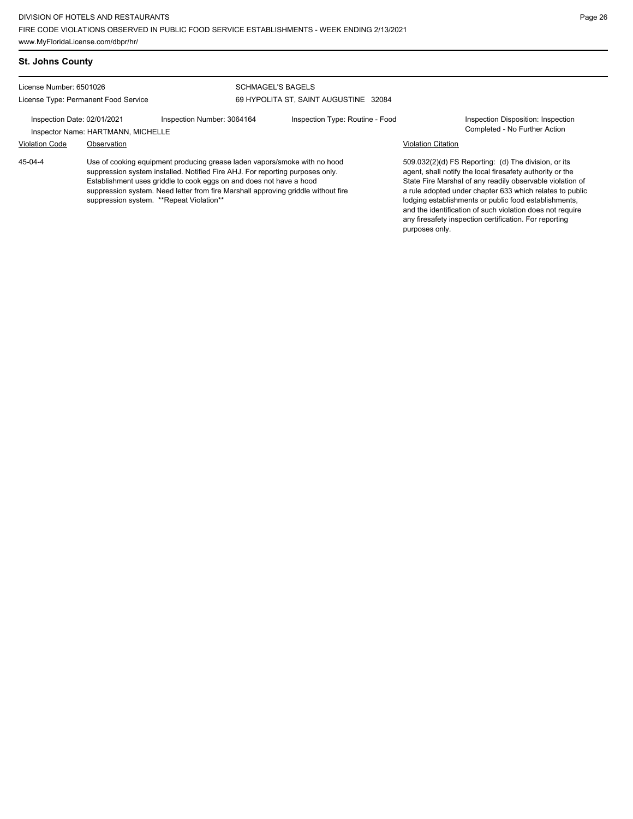## **St. Johns County**

License Number: 6501026

# License Type: Permanent Food Service

### SCHMAGEL'S BAGELS 69 HYPOLITA ST, SAINT AUGUSTINE 32084

Inspection Date: 02/01/2021 Inspection Number: 3064164 Inspection Type: Routine - Food Inspection Disposition: Inspection

Inspector Name: HARTMANN, MICHELLE **Action** Inspector Name: HARTMANN, MICHELLE

# Violation Code Observation Violation Citation

Use of cooking equipment producing grease laden vapors/smoke with no hood suppression system installed. Notified Fire AHJ. For reporting purposes only. Establishment uses griddle to cook eggs on and does not have a hood suppression system. Need letter from fire Marshall approving griddle without fire suppression system. \*\*Repeat Violation\*\* 45-04-4

509.032(2)(d) FS Reporting: (d) The division, or its agent, shall notify the local firesafety authority or the State Fire Marshal of any readily observable violation of a rule adopted under chapter 633 which relates to public lodging establishments or public food establishments, and the identification of such violation does not require any firesafety inspection certification. For reporting purposes only.